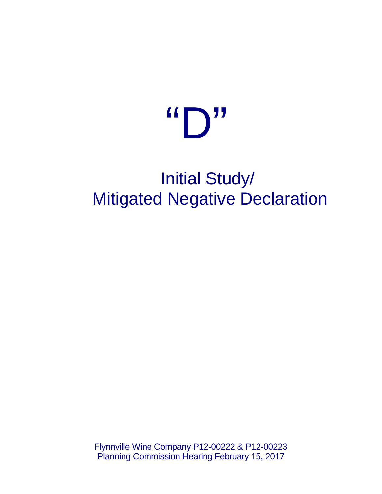# $\left( \mathbf{C} \mathbf{D} \mathbf{J} \right)$

# Initial Study/ Mitigated Negative Declaration

Flynnville Wine Company P12-00222 & P12-00223 Planning Commission Hearing February 15, 2017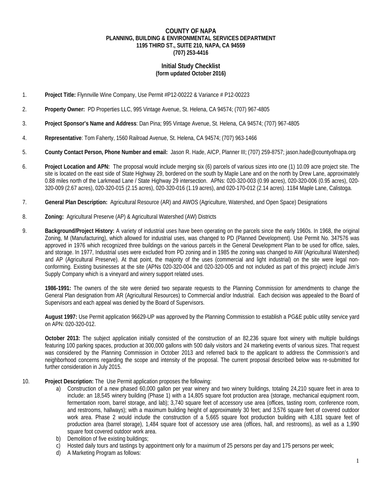#### **COUNTY OF NAPA PLANNING, BUILDING & ENVIRONMENTAL SERVICES DEPARTMENT 1195 THIRD ST., SUITE 210, NAPA, CA 94559 (707) 253-4416**

#### **Initial Study Checklist (form updated October 2016)**

- 1. **Project Title:** Flynnville Wine Company, Use Permit #P12-00222 & Variance # P12-00223
- 2. **Property Owner:** PD Properties LLC, 995 Vintage Avenue, St. Helena, CA 94574; (707) 967-4805
- 3. **Project Sponsor's Name and Address**: Dan Pina; 995 Vintage Avenue, St. Helena, CA 94574; (707) 967-4805
- 4. **Representative**: Tom Faherty, 1560 Railroad Avenue, St. Helena, CA 94574; (707) 963-1466
- 5. **County Contact Person, Phone Number and email:** Jason R. Hade, AICP, Planner III; (707) 259-8757; jason.hade@countyofnapa.org
- 6. **Project Location and APN:** The proposal would include merging six (6) parcels of various sizes into one (1) 10.09 acre project site. The site is located on the east side of State Highway 29, bordered on the south by Maple Lane and on the north by Drew Lane, approximately 0.88 miles north of the Larkmead Lane / State Highway 29 intersection. APNs: 020-320-003 (0.99 acres), 020-320-006 (0.95 acres), 020- 320-009 (2.67 acres), 020-320-015 (2.15 acres), 020-320-016 (1.19 acres), and 020-170-012 (2.14 acres). 1184 Maple Lane, Calistoga.
- 7. **General Plan Description:** Agricultural Resource (AR) and AWOS (Agriculture, Watershed, and Open Space) Designations
- 8. **Zoning:** Agricultural Preserve (AP) & Agricultural Watershed (AW) Districts
- 9. **Background/Project History:** A variety of industrial uses have been operating on the parcels since the early 1960s. In 1968, the original Zoning, M (Manufacturing), which allowed for industrial uses, was changed to PD (Planned Development). Use Permit No. 347576 was approved in 1976 which recognized three buildings on the various parcels in the General Development Plan to be used for office, sales, and storage. In 1977, Industrial uses were excluded from PD zoning and in 1985 the zoning was changed to AW (Agricultural Watershed) and AP (Agricultural Preserve). At that point, the majority of the uses (commercial and light industrial) on the site were legal nonconforming. Existing businesses at the site (APNs 020-320-004 and 020-320-005 and not included as part of this project) include Jim's Supply Company which is a vineyard and winery support related uses.

**1986-1991:** The owners of the site were denied two separate requests to the Planning Commission for amendments to change the General Plan designation from AR (Agricultural Resources) to Commercial and/or Industrial. Each decision was appealed to the Board of Supervisors and each appeal was denied by the Board of Supervisors.

**August 1997:** Use Permit application 96629-UP was approved by the Planning Commission to establish a PG&E public utility service yard on APN: 020-320-012.

**October 2013:** The subject application initially consisted of the construction of an 82,236 square foot winery with multiple buildings featuring 100 parking spaces, production at 300,000 gallons with 500 daily visitors and 24 marketing events of various sizes. That request was considered by the Planning Commission in October 2013 and referred back to the applicant to address the Commission's and neighborhood concerns regarding the scope and intensity of the proposal. The current proposal described below was re-submitted for further consideration in July 2015.

- 10. **Project Description:** The Use Permit application proposes the following:
	- a) Construction of a new phased 60,000 gallon per year winery and two winery buildings, totaling 24,210 square feet in area to include: an 18,545 winery building (Phase 1) with a 14,805 square foot production area (storage, mechanical equipment room, fermentation room, barrel storage, and lab); 3,740 square feet of accessory use area (offices, tasting room, conference room, and restrooms, hallways); with a maximum building height of approximately 30 feet; and 3,576 square feet of covered outdoor work area. Phase 2 would include the construction of a 5,665 square foot production building with 4,181 square feet of production area (barrel storage), 1,484 square foot of accessory use area (offices, hall, and restrooms), as well as a 1,990 square foot covered outdoor work area.
	- b) Demolition of five existing buildings;
	- c) Hosted daily tours and tastings by appointment only for a maximum of 25 persons per day and 175 persons per week;
	- d) A Marketing Program as follows: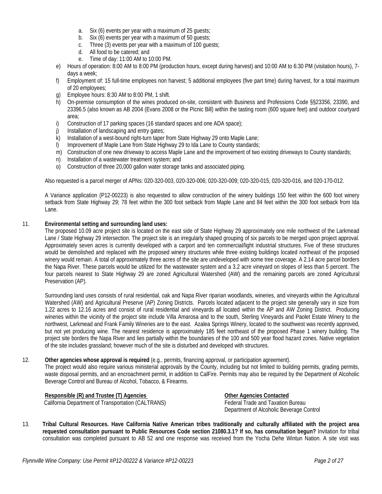- a. Six (6) events per year with a maximum of 25 guests;
- b. Six (6) events per year with a maximum of 50 guests;
- c. Three (3) events per year with a maximum of 100 guests;
- d. All food to be catered; and
- e. Time of day: 11:00 AM to 10:00 PM.
- e) Hours of operation: 8:00 AM to 8:00 PM (production hours, except during harvest) and 10:00 AM to 6:30 PM (visitation hours), 7 days a week;
- f) Employment of: 15 full-time employees non harvest; 5 additional employees (five part time) during harvest, for a total maximum of 20 employees;
- g) Employee hours: 8:30 AM to 8:00 PM, 1 shift.
- h) On-premise consumption of the wines produced on-site, consistent with Business and Professions Code §§23356, 23390, and 23396.5 (also known as AB 2004 (Evans 2008 or the Picnic Bill) within the tasting room (600 square feet) and outdoor courtyard area;
- i) Construction of 17 parking spaces (16 standard spaces and one ADA space);
- j) Installation of landscaping and entry gates;
- k) Installation of a west-bound right-turn taper from State Highway 29 onto Maple Lane;
- l) Improvement of Maple Lane from State Highway 29 to Ida Lane to County standards;
- m) Construction of one new driveway to access Maple Lane and the improvement of two existing driveways to County standards;
- n) Installation of a wastewater treatment system; and
- o) Construction of three 20,000 gallon water storage tanks and associated piping.

Also requested is a parcel merger of APNs: 020-320-003, 020-320-006; 020-320-009; 020-320-015, 020-320-016, and 020-170-012.

A Variance application (P12-00223) is also requested to allow construction of the winery buildings 150 feet within the 600 foot winery setback from State Highway 29; 78 feet within the 300 foot setback from Maple Lane and 84 feet within the 300 foot setback from Ida Lane.

#### 11. **Environmental setting and surrounding land uses:**

The proposed 10.09 acre project site is located on the east side of State Highway 29 approximately one mile northwest of the Larkmead Lane / State Highway 29 intersection. The project site is an irregularly shaped grouping of six parcels to be merged upon project approval. Approximately seven acres is currently developed with a carport and ten commercial/light industrial structures. Five of these structures would be demolished and replaced with the proposed winery structures while three existing buildings located northeast of the proposed winery would remain. A total of approximately three acres of the site are undeveloped with some tree coverage. A 2.14 acre parcel borders the Napa River. These parcels would be utilized for the wastewater system and a 3.2 acre vineyard on slopes of less than 5 percent. The four parcels nearest to State Highway 29 are zoned Agricultural Watershed (AW) and the remaining parcels are zoned Agricultural Preservation (AP).

Surrounding land uses consists of rural residential, oak and Napa River riparian woodlands, wineries, and vineyards within the Agricultural Watershed (AW) and Agricultural Preserve (AP) Zoning Districts. Parcels located adjacent to the project site generally vary in size from 1.22 acres to 12.16 acres and consist of rural residential and vineyards all located within the AP and AW Zoning District. Producing wineries within the vicinity of the project site include Villa Amarosa and to the south, Sterling Vineyards and Paolet Estate Winery to the northwest, Larkmead and Frank Family Wineries are to the east. Azalea Springs Winery, located to the southwest was recently approved, but not yet producing wine. The nearest residence is approximately 185 feet northeast of the proposed Phase 1 winery building. The project site borders the Napa River and lies partially within the boundaries of the 100 and 500 year flood hazard zones. Native vegetation of the site includes grassland; however much of the site is disturbed and developed with structures.

#### 12. **Other agencies whose approval is required** (e.g., permits, financing approval, or participation agreement).

The project would also require various ministerial approvals by the County, including but not limited to building permits, grading permits, waste disposal permits, and an encroachment permit, in addition to CalFire. Permits may also be required by the Department of Alcoholic Beverage Control and Bureau of Alcohol, Tobacco, & Firearms.

**Responsible (R) and Trustee (T) Agencies Other Agencies Contacted** California Department of Transportation (CALTRANS) Federal Trade and Taxation Bureau

Department of Alcoholic Beverage Control

13. **Tribal Cultural Resources. Have California Native American tribes traditionally and culturally affiliated with the project area requested consultation pursuant to Public Resources Code section 21080.3.1? If so, has consultation begun?** Invitation for tribal consultation was completed pursuant to AB 52 and one response was received from the Yocha Dehe Wintun Nation. A site visit was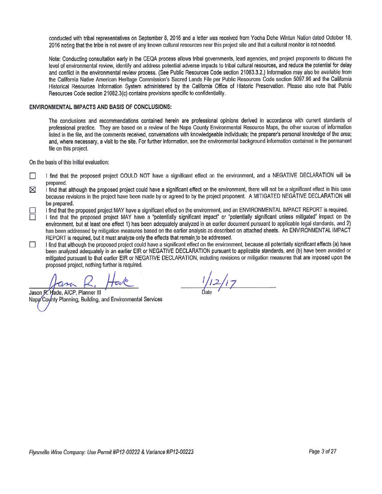conducted with tribal representatives on September 8, 2016 and a letter was received from Yocha Dehe Wintun Nation dated October 18, 2016 noting that the tribe is not aware of any known cultural resources near this project site and that a cultural monitor is not needed.

Note: Conducting consultation early in the CEQA process allows tribal governments, lead agencies, and project proponents to discuss the level of environmental review, identify and address potential adverse impacts to tribal cultural resources, and reduce the potential for delay and conflict in the environmental review process. (See Public Resources Code section 21083.3.2.) Information may also be available from the California Native American Heritage Commission's Sacred Lands File per Public Resources Code section 5097.96 and the California Historical Resources Information System administered by the California Office of Historic Preservation. Please also note that Public Resources Code section 21082.3(c) contains provisions specific to confidentiality.

#### ENVIRONMENTAL IMPACTS AND BASIS OF CONCLUSIONS:

The conclusions and recommendations contained herein are professional opinions derived in accordance with current standards of professional practice. They are based on a review of the Napa County Environmental Resource Maps, the other sources of information listed in the file, and the comments received, conversations with knowledgeable individuals; the preparer's personal knowledge of the area; and, where necessary, a visit to the site. For further information, see the environmental background information contained in the permanent file on this project.

On the basis of this initial evaluation:

- $\Box$ I find that the proposed project COULD NOT have a significant effect on the environment, and a NEGATIVE DECLARATION will be prepared.
- I find that although the proposed project could have a significant effect on the environment, there will not be a significant effect in this case ⊠ because revisions in the project have been made by or agreed to by the project proponent. A MITIGATED NEGATIVE DECLARATION will be prepared.
	- I find that the proposed project MAY have a significant effect on the environment, and an ENVIRONMENTAL IMPACT REPORT is required.
- П I find that the proposed project MAY have a "potentially significant impact" or "potentially significant unless mitigated" impact on the environment, but at least one effect 1) has been adequately analyzed in an earlier document pursuant to applicable legal standards, and 2) has been addressed by mitigation measures based on the earlier analysis as described on attached sheets. An ENVIRONMENTAL IMPACT REPORT is required, but it must analyze only the effects that remain to be addressed.
- I find that although the proposed project could have a significant effect on the environment, because all potentially significant effects (a) have □ been analyzed adequately in an earlier EIR or NEGATIVE DECLARATION pursuant to applicable standards, and (b) have been avoided or mitigated pursuant to that earlier EIR or NEGATIVE DECLARATION, including revisions or mitigation measures that are imposed upon the proposed project, nothing further is required.

Jason R. Hade, AICP, Planner III Napa County Planning, Building, and Environmental Services

 $1/12/17$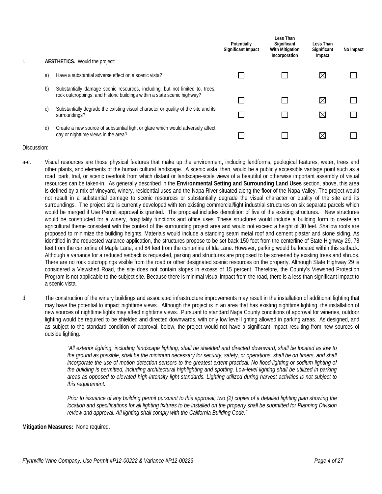| ι. |    | <b>AESTHETICS.</b> Would the project:                                                                                                                    | Potentially<br>Significant Impact | Less Than<br>Significant<br><b>With Mitigation</b><br>Incorporation | Less Than<br>Significant<br>Impact | No Impact |
|----|----|----------------------------------------------------------------------------------------------------------------------------------------------------------|-----------------------------------|---------------------------------------------------------------------|------------------------------------|-----------|
|    | a) | Have a substantial adverse effect on a scenic vista?                                                                                                     |                                   |                                                                     | IX                                 |           |
|    | b) | Substantially damage scenic resources, including, but not limited to, trees,<br>rock outcroppings, and historic buildings within a state scenic highway? |                                   |                                                                     | $\boxtimes$                        |           |
|    | C) | Substantially degrade the existing visual character or quality of the site and its<br>surroundings?                                                      |                                   |                                                                     | $\boxtimes$                        |           |
|    | d) | Create a new source of substantial light or glare which would adversely affect<br>day or nighttime views in the area?                                    |                                   |                                                                     | $\bowtie$                          |           |

- a-c. Visual resources are those physical features that make up the environment, including landforms, geological features, water, trees and other plants, and elements of the human cultural landscape. A scenic vista, then, would be a publicly accessible vantage point such as a road, park, trail, or scenic overlook from which distant or landscape-scale views of a beautiful or otherwise important assembly of visual resources can be taken-in. As generally described in the **Environmental Setting and Surrounding Land Uses** section, above, this area is defined by a mix of vineyard, winery, residential uses and the Napa River situated along the floor of the Napa Valley. The project would not result in a substantial damage to scenic resources or substantially degrade the visual character or quality of the site and its surroundings. The project site is currently developed with ten existing commercial/light industrial structures on six separate parcels which would be merged if Use Permit approval is granted. The proposal includes demolition of five of the existing structures. New structures would be constructed for a winery, hospitality functions and office uses. These structures would include a building form to create an agricultural theme consistent with the context of the surrounding project area and would not exceed a height of 30 feet. Shallow roofs are proposed to minimize the building heights. Materials would include a standing seam metal roof and cement plaster and stone siding. As identified in the requested variance application, the structures propose to be set back 150 feet from the centerline of State Highway 29, 78 feet from the centerline of Maple Lane, and 84 feet from the centerline of Ida Lane. However, parking would be located within this setback. Although a variance for a reduced setback is requested, parking and structures are proposed to be screened by existing trees and shrubs. There are no rock outcroppings visible from the road or other designated scenic resources on the property. Although State Highway 29 is considered a Viewshed Road, the site does not contain slopes in excess of 15 percent. Therefore, the County's Viewshed Protection Program is not applicable to the subject site. Because there is minimal visual impact from the road, there is a less than significant impact to a scenic vista.
- d. The construction of the winery buildings and associated infrastructure improvements may result in the installation of additional lighting that may have the potential to impact nighttime views. Although the project is in an area that has existing nighttime lighting, the installation of new sources of nighttime lights may affect nighttime views. Pursuant to standard Napa County conditions of approval for wineries, outdoor lighting would be required to be shielded and directed downwards, with only low level lighting allowed in parking areas. As designed, and as subject to the standard condition of approval, below, the project would not have a significant impact resulting from new sources of outside lighting.

*"All exterior lighting, including landscape lighting, shall be shielded and directed downward, shall be located as low to the ground as possible, shall be the minimum necessary for security, safety, or operations, shall be on timers, and shall*  incorporate the use of motion detection sensors to the greatest extent practical. No flood-lighting or sodium lighting of *the building is permitted, including architectural highlighting and spotting. Low-level lighting shall be utilized in parking areas as opposed to elevated high-intensity light standards. Lighting utilized during harvest activities is not subject to this requirement.*

*Prior to issuance of any building permit pursuant to this approval, two (2) copies of a detailed lighting plan showing the location and specifications for all lighting fixtures to be installed on the property shall be submitted for Planning Division review and approval. All lighting shall comply with the California Building Code."*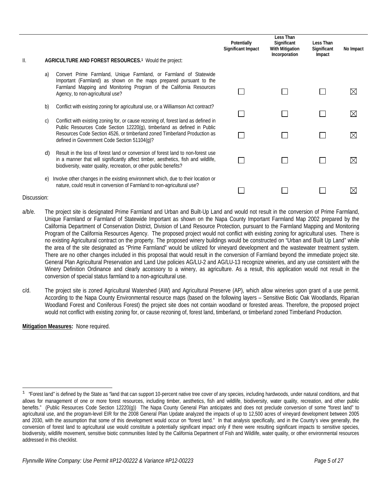|               |               |                                                                                                                                                                                                                                                                                            | Potentially<br><b>Significant Impact</b> | Less Than<br>Significant<br><b>With Mitigation</b><br>Incorporation | Less Than<br>Significant<br>Impact | No Impact   |
|---------------|---------------|--------------------------------------------------------------------------------------------------------------------------------------------------------------------------------------------------------------------------------------------------------------------------------------------|------------------------------------------|---------------------------------------------------------------------|------------------------------------|-------------|
| $\parallel$ . |               | AGRICULTURE AND FOREST RESOURCES. <sup>1</sup> Would the project:                                                                                                                                                                                                                          |                                          |                                                                     |                                    |             |
|               | a)            | Convert Prime Farmland, Unique Farmland, or Farmland of Statewide<br>Important (Farmland) as shown on the maps prepared pursuant to the<br>Farmland Mapping and Monitoring Program of the California Resources<br>Agency, to non-agricultural use?                                         |                                          |                                                                     |                                    |             |
|               | b)            | Conflict with existing zoning for agricultural use, or a Williamson Act contract?                                                                                                                                                                                                          |                                          |                                                                     |                                    | $\boxtimes$ |
|               | $\mathcal{C}$ | Conflict with existing zoning for, or cause rezoning of, forest land as defined in<br>Public Resources Code Section 12220(g), timberland as defined in Public<br>Resources Code Section 4526, or timberland zoned Timberland Production as<br>defined in Government Code Section 51104(g)? |                                          |                                                                     |                                    | M           |
|               | d)            | Result in the loss of forest land or conversion of forest land to non-forest use<br>in a manner that will significantly affect timber, aesthetics, fish and wildlife,<br>biodiversity, water quality, recreation, or other public benefits?                                                |                                          |                                                                     |                                    |             |
|               | e)            | Involve other changes in the existing environment which, due to their location or<br>nature, could result in conversion of Farmland to non-agricultural use?                                                                                                                               |                                          |                                                                     |                                    |             |

 $\overline{a}$ 

- a/b/e. The project site is designated Prime Farmland and Urban and Built-Up Land and would not result in the conversion of Prime Farmland, Unique Farmland or Farmland of Statewide Important as shown on the Napa County Important Farmland Map 2002 prepared by the California Department of Conservation District, Division of Land Resource Protection, pursuant to the Farmland Mapping and Monitoring Program of the California Resources Agency. The proposed project would not conflict with existing zoning for agricultural uses. There is no existing Agricultural contract on the property. The proposed winery buildings would be constructed on "Urban and Built Up Land" while the area of the site designated as "Prime Farmland" would be utilized for vineyard development and the wastewater treatment system. There are no other changes included in this proposal that would result in the conversion of Farmland beyond the immediate project site. General Plan Agricultural Preservation and Land Use policies AG/LU-2 and AG/LU-13 recognize wineries, and any use consistent with the Winery Definition Ordinance and clearly accessory to a winery, as agriculture. As a result, this application would not result in the conversion of special status farmland to a non-agricultural use.
- c/d. The project site is zoned Agricultural Watershed (AW) and Agricultural Preserve (AP), which allow wineries upon grant of a use permit. According to the Napa County Environmental resource maps (based on the following layers – Sensitive Biotic Oak Woodlands, Riparian Woodland Forest and Coniferous Forest) the project site does not contain woodland or forested areas. Therefore, the proposed project would not conflict with existing zoning for, or cause rezoning of, forest land, timberland, or timberland zoned Timberland Production.

<sup>&</sup>lt;sup>1</sup> "Forest land" is defined by the State as "land that can support 10-percent native tree cover of any species, including hardwoods, under natural conditions, and that allows for management of one or more forest resources, including timber, aesthetics, fish and wildlife, biodiversity, water quality, recreation, and other public benefits." (Public Resources Code Section 12220(g)) The Napa County General Plan anticipates and does not preclude conversion of some "forest land" to agricultural use, and the program-level EIR for the 2008 General Plan Update analyzed the impacts of up to 12,500 acres of vineyard development between 2005 and 2030, with the assumption that some of this development would occur on "forest land." In that analysis specifically, and in the County's view generally, the conversion of forest land to agricultural use would constitute a potentially significant impact only if there were resulting significant impacts to sensitive species, biodiversity, wildlife movement, sensitive biotic communities listed by the California Department of Fish and Wildlife, water quality, or other environmental resources addressed in this checklist.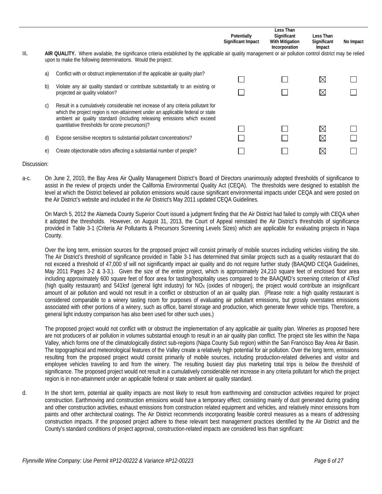| III. |          | AIR QUALITY. Where available, the significance criteria established by the applicable air quality management or air pollution control district may be relied<br>upon to make the following determinations. Would the project: | Potentially<br>Significant Impact | Less Than<br>Significant<br>With Mitigation<br>Incorporation | Less Than<br>Significant<br>Impact | No Impact |
|------|----------|-------------------------------------------------------------------------------------------------------------------------------------------------------------------------------------------------------------------------------|-----------------------------------|--------------------------------------------------------------|------------------------------------|-----------|
|      | a)<br>b) | Conflict with or obstruct implementation of the applicable air quality plan?<br>Violate any air quality standard or contribute substantially to an existing or                                                                |                                   |                                                              | $\boxtimes$                        |           |
|      | C)       | projected air quality violation?<br>Result in a cumulatively considerable net increase of any criteria pollutant for                                                                                                          |                                   |                                                              | $\boxtimes$                        |           |
|      |          | which the project region is non-attainment under an applicable federal or state<br>ambient air quality standard (including releasing emissions which exceed<br>quantitative thresholds for ozone precursors)?                 |                                   |                                                              | $\boxtimes$                        |           |
|      | d)       | Expose sensitive receptors to substantial pollutant concentrations?                                                                                                                                                           |                                   |                                                              | $\boxtimes$                        |           |
|      | e)       | Create objectionable odors affecting a substantial number of people?                                                                                                                                                          |                                   |                                                              | $\bowtie$                          |           |

a-c. On June 2, 2010, the Bay Area Air Quality Management District's Board of Directors unanimously adopted thresholds of significance to assist in the review of projects under the California Environmental Quality Act (CEQA). The thresholds were designed to establish the level at which the District believed air pollution emissions would cause significant environmental impacts under CEQA and were posted on the Air District's website and included in the Air District's May 2011 updated CEQA Guidelines.

On March 5, 2012 the Alameda County Superior Court issued a judgment finding that the Air District had failed to comply with CEQA when it adopted the thresholds. However, on August 31, 2013, the Court of Appeal reinstated the Air District's thresholds of significance provided in Table 3-1 (Criteria Air Pollutants & Precursors Screening Levels Sizes) which are applicable for evaluating projects in Napa County.

Over the long term, emission sources for the proposed project will consist primarily of mobile sources including vehicles visiting the site. The Air District's threshold of significance provided in Table 3-1 has determined that similar projects such as a quality restaurant that do not exceed a threshold of 47,000 sf will not significantly impact air quality and do not require further study (BAAQMD CEQA Guidelines, May 2011 Pages 3-2 & 3-3.). Given the size of the entire project, which is approximately 24,210 square feet of enclosed floor area including approximately 600 square feet of floor area for tasting/hospitality uses compared to the BAAQMD's screening criterion of 47ksf (high quality restaurant) and 541ksf (general light industry) for  $NO<sub>X</sub>$  (oxides of nitrogen), the project would contribute an insignificant amount of air pollution and would not result in a conflict or obstruction of an air quality plan. (Please note: a high quality restaurant is considered comparable to a winery tasting room for purposes of evaluating air pollutant emissions, but grossly overstates emissions associated with other portions of a winery, such as office, barrel storage and production, which generate fewer vehicle trips. Therefore, a general light industry comparison has also been used for other such uses.)

The proposed project would not conflict with or obstruct the implementation of any applicable air quality plan. Wineries as proposed here are not producers of air pollution in volumes substantial enough to result in an air quality plan conflict. The project site lies within the Napa Valley, which forms one of the climatologically distinct sub-regions (Napa County Sub region) within the San Francisco Bay Area Air Basin. The topographical and meteorological features of the Valley create a relatively high potential for air pollution. Over the long term, emissions resulting from the proposed project would consist primarily of mobile sources, including production-related deliveries and visitor and employee vehicles traveling to and from the winery. The resulting busiest day plus marketing total trips is below the threshold of significance. The proposed project would not result in a cumulatively considerable net increase in any criteria pollutant for which the project region is in non-attainment under an applicable federal or state ambient air quality standard.

d. In the short term, potential air quality impacts are most likely to result from earthmoving and construction activities required for project construction. Earthmoving and construction emissions would have a temporary effect; consisting mainly of dust generated during grading and other construction activities, exhaust emissions from construction related equipment and vehicles, and relatively minor emissions from paints and other architectural coatings. The Air District recommends incorporating feasible control measures as a means of addressing construction impacts. If the proposed project adhere to these relevant best management practices identified by the Air District and the County's standard conditions of project approval, construction-related impacts are considered less than significant: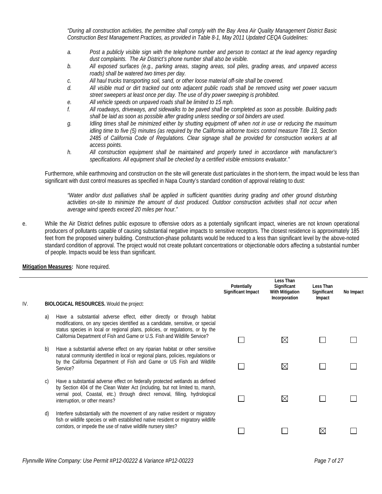*"During all construction activities, the permittee shall comply with the Bay Area Air Quality Management District Basic Construction Best Management Practices, as provided in Table 8-1, May 2011 Updated CEQA Guidelines:*

- *a. Post a publicly visible sign with the telephone number and person to contact at the lead agency regarding dust complaints. The Air District's phone number shall also be visible.*
- *b. All exposed surfaces (e.g., parking areas, staging areas, soil piles, grading areas, and unpaved access roads) shall be watered two times per day.*
- *c. All haul trucks transporting soil, sand, or other loose material off-site shall be covered.*
- *d. All visible mud or dirt tracked out onto adjacent public roads shall be removed using wet power vacuum street sweepers at least once per day. The use of dry power sweeping is prohibited.*
- *e. All vehicle speeds on unpaved roads shall be limited to 15 mph.*
- *f. All roadways, driveways, and sidewalks to be paved shall be completed as soon as possible. Building pads shall be laid as soon as possible after grading unless seeding or soil binders are used.*
- *g. Idling times shall be minimized either by shutting equipment off when not in use or reducing the maximum idling time to five (5) minutes (as required by the California airborne toxics control measure Title 13, Section 2485 of California Code of Regulations. Clear signage shall be provided for construction workers at all access points.*
- *h. All construction equipment shall be maintained and properly tuned in accordance with manufacturer's specifications. All equipment shall be checked by a certified visible emissions evaluator."*

Furthermore, while earthmoving and construction on the site will generate dust particulates in the short-term, the impact would be less than significant with dust control measures as specified in Napa County's standard condition of approval relating to dust:

*"Water and/or dust palliatives shall be applied in sufficient quantities during grading and other ground disturbing activities on-site to minimize the amount of dust produced. Outdoor construction activities shall not occur when average wind speeds exceed 20 miles per hour."*

e. While the Air District defines public exposure to offensive odors as a potentially significant impact, wineries are not known operational producers of pollutants capable of causing substantial negative impacts to sensitive receptors. The closest residence is approximately 185 feet from the proposed winery building. Construction-phase pollutants would be reduced to a less than significant level by the above-noted standard condition of approval. The project would not create pollutant concentrations or objectionable odors affecting a substantial number of people. Impacts would be less than significant.

| IV. | <b>BIOLOGICAL RESOURCES.</b> Would the project:                                                                                                                                                                                                                                                                              | Potentially<br><b>Significant Impact</b> | Less Than<br>Significant<br>With Mitigation<br>Incorporation | Less Than<br>Significant<br>Impact | No Impact |
|-----|------------------------------------------------------------------------------------------------------------------------------------------------------------------------------------------------------------------------------------------------------------------------------------------------------------------------------|------------------------------------------|--------------------------------------------------------------|------------------------------------|-----------|
|     |                                                                                                                                                                                                                                                                                                                              |                                          |                                                              |                                    |           |
|     | Have a substantial adverse effect, either directly or through habitat<br>a)<br>modifications, on any species identified as a candidate, sensitive, or special<br>status species in local or regional plans, policies, or regulations, or by the<br>California Department of Fish and Game or U.S. Fish and Wildlife Service? |                                          | $\boxtimes$                                                  |                                    |           |
|     | Have a substantial adverse effect on any riparian habitat or other sensitive<br>b)                                                                                                                                                                                                                                           |                                          |                                                              |                                    |           |
|     | natural community identified in local or regional plans, policies, regulations or<br>by the California Department of Fish and Game or US Fish and Wildlife<br>Service?                                                                                                                                                       |                                          | $\boxtimes$                                                  |                                    |           |
|     | Have a substantial adverse effect on federally protected wetlands as defined<br>C)                                                                                                                                                                                                                                           |                                          |                                                              |                                    |           |
|     | by Section 404 of the Clean Water Act (including, but not limited to, marsh,<br>vernal pool, Coastal, etc.) through direct removal, filling, hydrological<br>interruption, or other means?                                                                                                                                   |                                          | $\boxtimes$                                                  |                                    |           |
|     | Interfere substantially with the movement of any native resident or migratory<br>d)                                                                                                                                                                                                                                          |                                          |                                                              |                                    |           |
|     | fish or wildlife species or with established native resident or migratory wildlife<br>corridors, or impede the use of native wildlife nursery sites?                                                                                                                                                                         |                                          |                                                              | $\boxtimes$                        |           |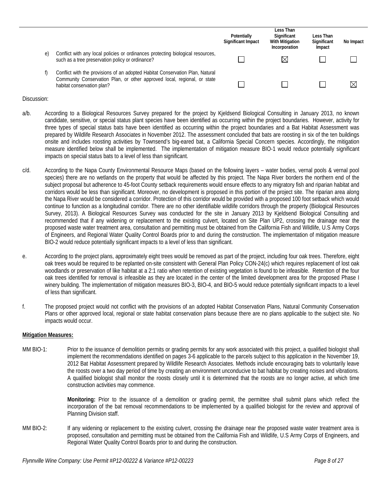|    |                                                                                                                                                                                         | Potentially<br>Significant Impact | Less Than<br>Significant<br><b>With Mitigation</b><br>Incorporation | Less Than<br>Significant<br>Impact | No Impact |
|----|-----------------------------------------------------------------------------------------------------------------------------------------------------------------------------------------|-----------------------------------|---------------------------------------------------------------------|------------------------------------|-----------|
| e) | Conflict with any local policies or ordinances protecting biological resources,<br>such as a tree preservation policy or ordinance?                                                     |                                   | ⋉                                                                   |                                    |           |
|    | Conflict with the provisions of an adopted Habitat Conservation Plan, Natural<br>Community Conservation Plan, or other approved local, regional, or state<br>habitat conservation plan? |                                   |                                                                     |                                    | ⊠         |

- a/b. According to a Biological Resources Survey prepared for the project by Kjeldsend Biological Consulting in January 2013, no known candidate, sensitive, or special status plant species have been identified as occurring within the project boundaries. However, activity for three types of special status bats have been identified as occurring within the project boundaries and a Bat Habitat Assessment was prepared by Wildlife Research Associates in November 2012. The assessment concluded that bats are roosting in six of the ten buildings onsite and includes roosting activities by Townsend's big-eared bat, a California Special Concern species. Accordingly, the mitigation measure identified below shall be implemented. The implementation of mitigation measure BIO-1 would reduce potentially significant impacts on special status bats to a level of less than significant.
- c/d. According to the Napa County Environmental Resource Maps (based on the following layers water bodies, vernal pools & vernal pool species) there are no wetlands on the property that would be affected by this project. The Napa River borders the northern end of the subject proposal but adherence to 45-foot County setback requirements would ensure effects to any migratory fish and riparian habitat and corridors would be less than significant. Moreover, no development is proposed in this portion of the project site. The riparian area along the Napa River would be considered a corridor. Protection of this corridor would be provided with a proposed 100 foot setback which would continue to function as a longitudinal corridor. There are no other identifiable wildlife corridors through the property (Biological Resources Survey, 2013). A Biological Resources Survey was conducted for the site in January 2013 by Kjeldsend Biological Consulting and recommended that if any widening or replacement to the existing culvert, located on Site Plan UP2, crossing the drainage near the proposed waste water treatment area, consultation and permitting must be obtained from the California Fish and Wildlife, U.S Army Corps of Engineers, and Regional Water Quality Control Boards prior to and during the construction. The implementation of mitigation measure BIO-2 would reduce potentially significant impacts to a level of less than significant.
- e. According to the project plans, approximately eight trees would be removed as part of the project, including four oak trees. Therefore, eight oak trees would be required to be replanted on-site consistent with General Plan Policy CON-24(c) which requires replacement of lost oak woodlands or preservation of like habitat at a 2:1 ratio when retention of existing vegetation is found to be infeasible. Retention of the four oak trees identified for removal is infeasible as they are located in the center of the limited development area for the proposed Phase I winery building. The implementation of mitigation measures BIO-3, BIO-4, and BIO-5 would reduce potentially significant impacts to a level of less than significant.
- f. The proposed project would not conflict with the provisions of an adopted Habitat Conservation Plans, Natural Community Conservation Plans or other approved local, regional or state habitat conservation plans because there are no plans applicable to the subject site. No impacts would occur.

#### **Mitigation Measures:**

MM BIO-1: Prior to the issuance of demolition permits or grading permits for any work associated with this project, a qualified biologist shall implement the recommendations identified on pages 3-6 applicable to the parcels subject to this application in the November 19, 2012 Bat Habitat Assessment prepared by Wildlife Research Associates. Methods include encouraging bats to voluntarily leave the roosts over a two day period of time by creating an environment unconducive to bat habitat by creating noises and vibrations. A qualified biologist shall monitor the roosts closely until it is determined that the roosts are no longer active, at which time construction activities may commence.

> **Monitoring:** Prior to the issuance of a demolition or grading permit, the permittee shall submit plans which reflect the incorporation of the bat removal recommendations to be implemented by a qualified biologist for the review and approval of Planning Division staff.

MM BIO-2: If any widening or replacement to the existing culvert, crossing the drainage near the proposed waste water treatment area is proposed, consultation and permitting must be obtained from the California Fish and Wildlife, U.S Army Corps of Engineers, and Regional Water Quality Control Boards prior to and during the construction.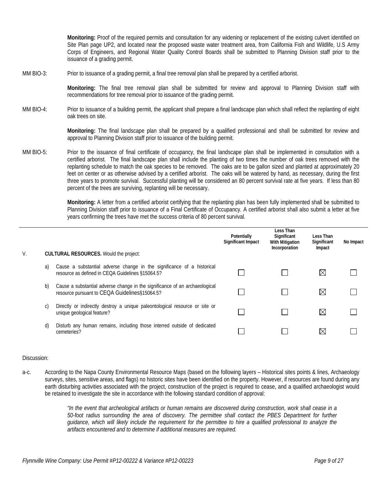**Monitoring:** Proof of the required permits and consultation for any widening or replacement of the existing culvert identified on Site Plan page UP2, and located near the proposed waste water treatment area, from California Fish and Wildlife, U.S Army Corps of Engineers, and Regional Water Quality Control Boards shall be submitted to Planning Division staff prior to the issuance of a grading permit.

MM BIO-3: Prior to issuance of a grading permit, a final tree removal plan shall be prepared by a certified arborist.

**Monitoring:** The final tree removal plan shall be submitted for review and approval to Planning Division staff with recommendations for tree removal prior to issuance of the grading permit.

MM BIO-4: Prior to issuance of a building permit, the applicant shall prepare a final landscape plan which shall reflect the replanting of eight oak trees on site.

> **Monitoring:** The final landscape plan shall be prepared by a qualified professional and shall be submitted for review and approval to Planning Division staff prior to issuance of the building permit.

MM BIO-5: Prior to the issuance of final certificate of occupancy, the final landscape plan shall be implemented in consultation with a certified arborist. The final landscape plan shall include the planting of two times the number of oak trees removed with the replanting schedule to match the oak species to be removed. The oaks are to be gallon sized and planted at approximately 20 feet on center or as otherwise advised by a certified arborist. The oaks will be watered by hand, as necessary, during the first three years to promote survival. Successful planting will be considered an 80 percent survival rate at five years. If less than 80 percent of the trees are surviving, replanting will be necessary.

> **Monitoring:** A letter from a certified arborist certifying that the replanting plan has been fully implemented shall be submitted to Planning Division staff prior to issuance of a Final Certificate of Occupancy. A certified arborist shall also submit a letter at five years confirming the trees have met the success criteria of 80 percent survival.

| V. |    | <b>CULTURAL RESOURCES.</b> Would the project:                                                                                | Potentially<br>Significant Impact | Less Than<br>Significant<br><b>With Mitigation</b><br>Incorporation | Less Than<br>Significant<br>Impact | No Impact |
|----|----|------------------------------------------------------------------------------------------------------------------------------|-----------------------------------|---------------------------------------------------------------------|------------------------------------|-----------|
|    | a) | Cause a substantial adverse change in the significance of a historical<br>resource as defined in CEQA Guidelines §15064.5?   |                                   |                                                                     | ⋉                                  |           |
|    | b) | Cause a substantial adverse change in the significance of an archaeological<br>resource pursuant to CEQA Guidelines§15064.5? |                                   |                                                                     | ⋉                                  |           |
|    | C) | Directly or indirectly destroy a unique paleontological resource or site or<br>unique geological feature?                    |                                   |                                                                     | ⊠                                  |           |
|    | d) | Disturb any human remains, including those interred outside of dedicated<br>cemeteries?                                      |                                   |                                                                     |                                    |           |

#### Discussion:

a-c. According to the Napa County Environmental Resource Maps (based on the following layers – Historical sites points & lines, Archaeology surveys, sites, sensitive areas, and flags) no historic sites have been identified on the property. However, if resources are found during any earth disturbing activities associated with the project, construction of the project is required to cease, and a qualified archaeologist would be retained to investigate the site in accordance with the following standard condition of approval:

> *"In the event that archeological artifacts or human remains are discovered during construction, work shall cease in a 50-foot radius surrounding the area of discovery. The permittee shall contact the PBES Department for further guidance, which will likely include the requirement for the permittee to hire a qualified professional to analyze the artifacts encountered and to determine if additional measures are required.*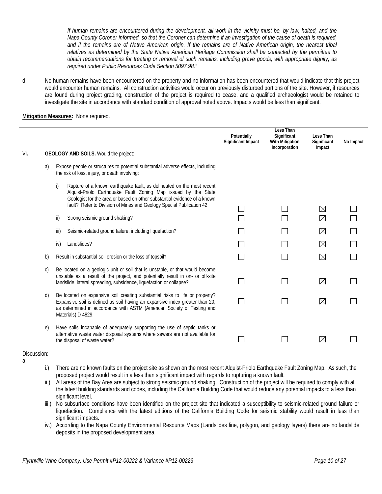*If human remains are encountered during the development, all work in the vicinity must be, by law, halted, and the Napa County Coroner informed, so that the Coroner can determine if an investigation of the cause of death is required,*  and if the remains are of Native American origin. If the remains are of Native American origin, the nearest tribal *relatives as determined by the State Native American Heritage Commission shall be contacted by the permittee to obtain recommendations for treating or removal of such remains, including grave goods, with appropriate dignity, as required under Public Resources Code Section 5097.98."*

d. No human remains have been encountered on the property and no information has been encountered that would indicate that this project would encounter human remains. All construction activities would occur on previously disturbed portions of the site. However, if resources are found during project grading, construction of the project is required to cease, and a qualified archaeologist would be retained to investigate the site in accordance with standard condition of approval noted above. Impacts would be less than significant.

#### **Mitigation Measures:** None required.

|     |              |      |                                                                                                                                                                                                                                                                                              | Potentially<br><b>Significant Impact</b> | Less Than<br>Significant<br>With Mitigation<br>Incorporation | Less Than<br>Significant<br>Impact | No Impact |
|-----|--------------|------|----------------------------------------------------------------------------------------------------------------------------------------------------------------------------------------------------------------------------------------------------------------------------------------------|------------------------------------------|--------------------------------------------------------------|------------------------------------|-----------|
| VI. |              |      | <b>GEOLOGY AND SOILS.</b> Would the project:                                                                                                                                                                                                                                                 |                                          |                                                              |                                    |           |
|     | a)           |      | Expose people or structures to potential substantial adverse effects, including<br>the risk of loss, injury, or death involving:                                                                                                                                                             |                                          |                                                              |                                    |           |
|     |              | i)   | Rupture of a known earthquake fault, as delineated on the most recent<br>Alquist-Priolo Earthquake Fault Zoning Map issued by the State<br>Geologist for the area or based on other substantial evidence of a known<br>fault? Refer to Division of Mines and Geology Special Publication 42. |                                          |                                                              |                                    |           |
|     |              |      |                                                                                                                                                                                                                                                                                              |                                          |                                                              | $\boxtimes$                        |           |
|     |              | ii)  | Strong seismic ground shaking?                                                                                                                                                                                                                                                               |                                          |                                                              | $\boxtimes$                        |           |
|     |              | iii) | Seismic-related ground failure, including liquefaction?                                                                                                                                                                                                                                      |                                          |                                                              | $\boxtimes$                        |           |
|     |              | iv)  | Landslides?                                                                                                                                                                                                                                                                                  |                                          |                                                              | $\boxtimes$                        |           |
|     | b)           |      | Result in substantial soil erosion or the loss of topsoil?                                                                                                                                                                                                                                   |                                          |                                                              | $\boxtimes$                        |           |
|     | $\mathsf{C}$ |      | Be located on a geologic unit or soil that is unstable, or that would become<br>unstable as a result of the project, and potentially result in on- or off-site<br>landslide, lateral spreading, subsidence, liquefaction or collapse?                                                        |                                          |                                                              | $\boxtimes$                        |           |
|     | d)           |      | Be located on expansive soil creating substantial risks to life or property?<br>Expansive soil is defined as soil having an expansive index greater than 20,<br>as determined in accordance with ASTM (American Society of Testing and<br>Materials) D 4829.                                 |                                          |                                                              | $\boxtimes$                        |           |
|     | e)           |      | Have soils incapable of adequately supporting the use of septic tanks or<br>alternative waste water disposal systems where sewers are not available for<br>the disposal of waste water?                                                                                                      |                                          |                                                              | $\boxtimes$                        |           |

## Discussion:

- a.
- i.) There are no known faults on the project site as shown on the most recent Alquist-Priolo Earthquake Fault Zoning Map. As such, the proposed project would result in a less than significant impact with regards to rupturing a known fault.
- ii.) All areas of the Bay Area are subject to strong seismic ground shaking. Construction of the project will be required to comply with all the latest building standards and codes, including the California Building Code that would reduce any potential impacts to a less than significant level.
- iii.) No subsurface conditions have been identified on the project site that indicated a susceptibility to seismic-related ground failure or liquefaction. Compliance with the latest editions of the California Building Code for seismic stability would result in less than significant impacts.
- iv.) According to the Napa County Environmental Resource Maps (Landslides line, polygon, and geology layers) there are no landslide deposits in the proposed development area.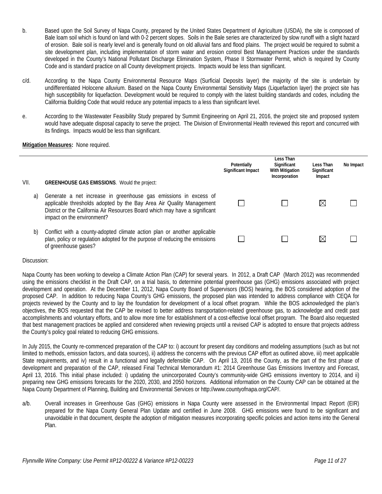- b. Based upon the Soil Survey of Napa County, prepared by the United States Department of Agriculture (USDA), the site is composed of Bale loam soil which is found on land with 0-2 percent slopes. Soils in the Bale series are characterized by slow runoff with a slight hazard of erosion. Bale soil is nearly level and is generally found on old alluvial fans and flood plains. The project would be required to submit a site development plan, including implementation of storm water and erosion control Best Management Practices under the standards developed in the County's National Pollutant Discharge Elimination System, Phase II Stormwater Permit, which is required by County Code and is standard practice on all County development projects. Impacts would be less than significant.
- c/d. According to the Napa County Environmental Resource Maps (Surficial Deposits layer) the majority of the site is underlain by undifferentiated Holocene alluvium. Based on the Napa County Environmental Sensitivity Maps (Liquefaction layer) the project site has high susceptibility for liquefaction. Development would be required to comply with the latest building standards and codes, including the California Building Code that would reduce any potential impacts to a less than significant level.
- e. According to the Wastewater Feasibility Study prepared by Summit Engineering on April 21, 2016, the project site and proposed system would have adequate disposal capacity to serve the project. The Division of Environmental Health reviewed this report and concurred with its findings. Impacts would be less than significant.

#### **Mitigation Measures:** None required.

|      |                                                                                                                                                                                                                                                       | Potentially<br>Significant Impact | Less Than<br>Significant<br><b>With Mitigation</b><br>Incorporation | Less Than<br>Significant<br>Impact | No Impact |
|------|-------------------------------------------------------------------------------------------------------------------------------------------------------------------------------------------------------------------------------------------------------|-----------------------------------|---------------------------------------------------------------------|------------------------------------|-----------|
| VII. | <b>GREENHOUSE GAS EMISSIONS.</b> Would the project:                                                                                                                                                                                                   |                                   |                                                                     |                                    |           |
| a)   | Generate a net increase in greenhouse gas emissions in excess of<br>applicable thresholds adopted by the Bay Area Air Quality Management<br>District or the California Air Resources Board which may have a significant<br>impact on the environment? |                                   |                                                                     |                                    |           |
| b)   | Conflict with a county-adopted climate action plan or another applicable<br>plan, policy or regulation adopted for the purpose of reducing the emissions<br>of greenhouse gases?                                                                      |                                   |                                                                     |                                    |           |

#### Discussion:

Napa County has been working to develop a Climate Action Plan (CAP) for several years. In 2012, a Draft CAP (March 2012) was recommended using the emissions checklist in the Draft CAP, on a trial basis, to determine potential greenhouse gas (GHG) emissions associated with project development and operation. At the December 11, 2012, Napa County Board of Supervisors (BOS) hearing, the BOS considered adoption of the proposed CAP. In addition to reducing Napa County's GHG emissions, the proposed plan was intended to address compliance with CEQA for projects reviewed by the County and to lay the foundation for development of a local offset program. While the BOS acknowledged the plan's objectives, the BOS requested that the CAP be revised to better address transportation-related greenhouse gas, to acknowledge and credit past accomplishments and voluntary efforts, and to allow more time for establishment of a cost-effective local offset program. The Board also requested that best management practices be applied and considered when reviewing projects until a revised CAP is adopted to ensure that projects address the County's policy goal related to reducing GHG emissions.

In July 2015, the County re-commenced preparation of the CAP to: i) account for present day conditions and modeling assumptions (such as but not limited to methods, emission factors, and data sources), ii) address the concerns with the previous CAP effort as outlined above, iii) meet applicable State requirements, and iv) result in a functional and legally defensible CAP. On April 13, 2016 the County, as the part of the first phase of development and preparation of the CAP, released Final Technical Memorandum #1: 2014 Greenhouse Gas Emissions Inventory and Forecast, April 13, 2016. This initial phase included: i) updating the unincorporated County's community-wide GHG emissions inventory to 2014, and ii) preparing new GHG emissions forecasts for the 2020, 2030, and 2050 horizons. Additional information on the County CAP can be obtained at the Napa County Department of Planning, Building and Environmental Services or http://www.countyofnapa.org/CAP/.

a/b. Overall increases in Greenhouse Gas (GHG) emissions in Napa County were assessed in the Environmental Impact Report (EIR) prepared for the Napa County General Plan Update and certified in June 2008. GHG emissions were found to be significant and unavoidable in that document, despite the adoption of mitigation measures incorporating specific policies and action items into the General Plan.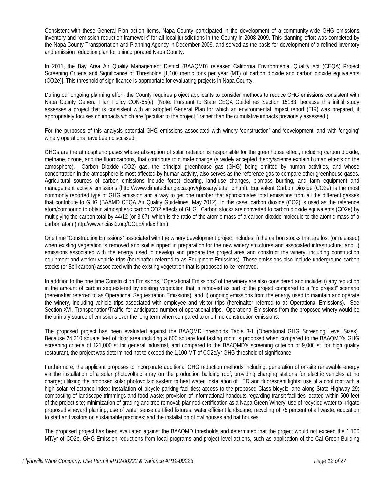Consistent with these General Plan action items, Napa County participated in the development of a community-wide GHG emissions inventory and "emission reduction framework" for all local jurisdictions in the County in 2008-2009. This planning effort was completed by the Napa County Transportation and Planning Agency in December 2009, and served as the basis for development of a refined inventory and emission reduction plan for unincorporated Napa County.

In 2011, the Bay Area Air Quality Management District (BAAQMD) released California Environmental Quality Act (CEQA) Project Screening Criteria and Significance of Thresholds [1,100 metric tons per year (MT) of carbon dioxide and carbon dioxide equivalents (CO2e)]. This threshold of significance is appropriate for evaluating projects in Napa County.

During our ongoing planning effort, the County requires project applicants to consider methods to reduce GHG emissions consistent with Napa County General Plan Policy CON-65(e). (Note: Pursuant to State CEQA Guidelines Section 15183, because this initial study assesses a project that is consistent with an adopted General Plan for which an environmental impact report (EIR) was prepared, it appropriately focuses on impacts which are "peculiar to the project," rather than the cumulative impacts previously assessed.)

For the purposes of this analysis potential GHG emissions associated with winery 'construction' and 'development' and with 'ongoing' winery operations have been discussed.

GHGs are the atmospheric gases whose absorption of solar radiation is responsible for the greenhouse effect, including carbon dioxide, methane, ozone, and the fluorocarbons, that contribute to climate change (a widely accepted theory/science explain human effects on the atmosphere). Carbon Dioxide (CO2) gas, the principal greenhouse gas (GHG) being emitted by human activities, and whose concentration in the atmosphere is most affected by human activity, also serves as the reference gas to compare other greenhouse gases. Agricultural sources of carbon emissions include forest clearing, land-use changes, biomass burning, and farm equipment and management activity emissions (http://www.climatechange.ca.gov/glossary/letter\_c.html). Equivalent Carbon Dioxide (CO2e) is the most commonly reported type of GHG emission and a way to get one number that approximates total emissions from all the different gasses that contribute to GHG (BAAMD CEQA Air Quality Guidelines, May 2012). In this case, carbon dioxide (CO2) is used as the reference atom/compound to obtain atmospheric carbon CO2 effects of GHG. Carbon stocks are converted to carbon dioxide equivalents (CO2e) by multiplying the carbon total by 44/12 (or 3.67), which is the ratio of the atomic mass of a carbon dioxide molecule to the atomic mass of a carbon atom (http://www.nciasi2.org/COLE/index.html).

One time "Construction Emissions" associated with the winery development project includes: i) the carbon stocks that are lost (or released) when existing vegetation is removed and soil is ripped in preparation for the new winery structures and associated infrastructure; and ii) emissions associated with the energy used to develop and prepare the project area and construct the winery, including construction equipment and worker vehicle trips (hereinafter referred to as Equipment Emissions). These emissions also include underground carbon stocks (or Soil carbon) associated with the existing vegetation that is proposed to be removed.

In addition to the one time Construction Emissions, "Operational Emissions" of the winery are also considered and include: i) any reduction in the amount of carbon sequestered by existing vegetation that is removed as part of the project compared to a "no project" scenario (hereinafter referred to as Operational Sequestration Emissions); and ii) ongoing emissions from the energy used to maintain and operate the winery, including vehicle trips associated with employee and visitor trips (hereinafter referred to as Operational Emissions). See Section XVI, Transportation/Traffic, for anticipated number of operational trips. Operational Emissions from the proposed winery would be the primary source of emissions over the long-term when compared to one time construction emissions.

The proposed project has been evaluated against the BAAQMD thresholds Table 3-1 (Operational GHG Screening Level Sizes). Because 24,210 square feet of floor area including a 600 square foot tasting room is proposed when compared to the BAAQMD's GHG screening criteria of 121,000 sf for general industrial, and compared to the BAAQMD's screening criterion of 9,000 sf. for high quality restaurant, the project was determined not to exceed the 1,100 MT of CO2e/yr GHG threshold of significance.

Furthermore, the applicant proposes to incorporate additional GHG reduction methods including: generation of on-site renewable energy via the installation of a solar photovoltaic array on the production building roof; providing charging stations for electric vehicles at no charge; utilizing the proposed solar photovoltaic system to heat water; installation of LED and fluorescent lights; use of a cool roof with a high solar reflectance index; installation of bicycle parking facilities; access to the proposed Class bicycle lane along State Highway 29; composting of landscape trimmings and food waste; provision of informational handouts regarding transit facilities located within 500 feet of the project site; minimization of grading and tree removal; planned certification as a Napa Green Winery; use of recycled water to irrigate proposed vineyard planting; use of water sense certified fixtures; water efficient landscape; recycling of 75 percent of all waste; education to staff and visitors on sustainable practices; and the installation of owl houses and bat houses.

The proposed project has been evaluated against the BAAQMD thresholds and determined that the project would not exceed the 1,100 MT/yr of CO2e. GHG Emission reductions from local programs and project level actions, such as application of the Cal Green Building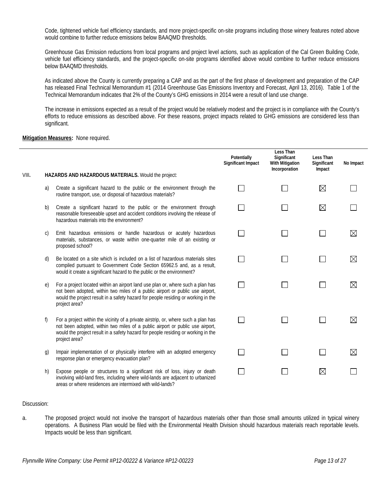Code, tightened vehicle fuel efficiency standards, and more project-specific on-site programs including those winery features noted above would combine to further reduce emissions below BAAQMD thresholds.

Greenhouse Gas Emission reductions from local programs and project level actions, such as application of the Cal Green Building Code, vehicle fuel efficiency standards, and the project-specific on-site programs identified above would combine to further reduce emissions below BAAQMD thresholds.

As indicated above the County is currently preparing a CAP and as the part of the first phase of development and preparation of the CAP has released Final Technical Memorandum #1 (2014 Greenhouse Gas Emissions Inventory and Forecast, April 13, 2016). Table 1 of the Technical Memorandum indicates that 2% of the County's GHG emissions in 2014 were a result of land use change.

The increase in emissions expected as a result of the project would be relatively modest and the project is in compliance with the County's efforts to reduce emissions as described above. For these reasons, project impacts related to GHG emissions are considered less than significant.

#### **Mitigation Measures:** None required.

|       |    |                                                                                                                                                                                                                                                                           | Potentially<br>Significant Impact | Less Than<br>Significant<br>With Mitigation<br>Incorporation | Less Than<br>Significant<br>Impact | No Impact   |
|-------|----|---------------------------------------------------------------------------------------------------------------------------------------------------------------------------------------------------------------------------------------------------------------------------|-----------------------------------|--------------------------------------------------------------|------------------------------------|-------------|
| VIII. |    | HAZARDS AND HAZARDOUS MATERIALS. Would the project:                                                                                                                                                                                                                       |                                   |                                                              |                                    |             |
|       | a) | Create a significant hazard to the public or the environment through the<br>routine transport, use, or disposal of hazardous materials?                                                                                                                                   |                                   |                                                              | $\boxtimes$                        |             |
|       | b) | Create a significant hazard to the public or the environment through<br>reasonable foreseeable upset and accident conditions involving the release of<br>hazardous materials into the environment?                                                                        |                                   |                                                              | $\boxtimes$                        |             |
|       | C) | Emit hazardous emissions or handle hazardous or acutely hazardous<br>materials, substances, or waste within one-quarter mile of an existing or<br>proposed school?                                                                                                        |                                   |                                                              |                                    | $\boxtimes$ |
|       | d) | Be located on a site which is included on a list of hazardous materials sites<br>compiled pursuant to Government Code Section 65962.5 and, as a result,<br>would it create a significant hazard to the public or the environment?                                         |                                   |                                                              |                                    | $\boxtimes$ |
|       | e) | For a project located within an airport land use plan or, where such a plan has<br>not been adopted, within two miles of a public airport or public use airport,<br>would the project result in a safety hazard for people residing or working in the<br>project area?    |                                   |                                                              |                                    | $\boxtimes$ |
|       | f) | For a project within the vicinity of a private airstrip, or, where such a plan has<br>not been adopted, within two miles of a public airport or public use airport,<br>would the project result in a safety hazard for people residing or working in the<br>project area? |                                   |                                                              |                                    | $\boxtimes$ |
|       | g) | Impair implementation of or physically interfere with an adopted emergency<br>response plan or emergency evacuation plan?                                                                                                                                                 |                                   |                                                              |                                    | $\boxtimes$ |
|       | h) | Expose people or structures to a significant risk of loss, injury or death<br>involving wild-land fires, including where wild-lands are adjacent to urbanized<br>areas or where residences are intermixed with wild-lands?                                                |                                   |                                                              | $\boxtimes$                        |             |

#### Discussion:

a. The proposed project would not involve the transport of hazardous materials other than those small amounts utilized in typical winery operations. A Business Plan would be filed with the Environmental Health Division should hazardous materials reach reportable levels. Impacts would be less than significant.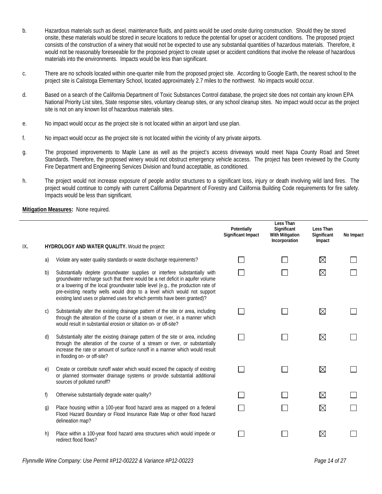- b. Hazardous materials such as diesel, maintenance fluids, and paints would be used onsite during construction. Should they be stored onsite, these materials would be stored in secure locations to reduce the potential for upset or accident conditions. The proposed project consists of the construction of a winery that would not be expected to use any substantial quantities of hazardous materials. Therefore, it would not be reasonably foreseeable for the proposed project to create upset or accident conditions that involve the release of hazardous materials into the environments. Impacts would be less than significant.
- c. There are no schools located within one-quarter mile from the proposed project site. According to Google Earth, the nearest school to the project site is Calistoga Elementary School, located approximately 2.7 miles to the northwest. No impacts would occur.
- d. Based on a search of the California Department of Toxic Substances Control database, the project site does not contain any known EPA National Priority List sites, State response sites, voluntary cleanup sites, or any school cleanup sites. No impact would occur as the project site is not on any known list of hazardous materials sites.
- e. No impact would occur as the project site is not located within an airport land use plan.
- f. No impact would occur as the project site is not located within the vicinity of any private airports.
- g. The proposed improvements to Maple Lane as well as the project's access driveways would meet Napa County Road and Street Standards. Therefore, the proposed winery would not obstruct emergency vehicle access. The project has been reviewed by the County Fire Department and Engineering Services Division and found acceptable, as conditioned.
- h. The project would not increase exposure of people and/or structures to a significant loss, injury or death involving wild land fires. The project would continue to comply with current California Department of Forestry and California Building Code requirements for fire safety. Impacts would be less than significant.

|     |              |                                                                                                                                                                                                                                                                                                                                                                                                        | Potentially<br><b>Significant Impact</b> | Less Than<br>Significant<br><b>With Mitigation</b><br>Incorporation | Less Than<br>Significant<br>Impact | No Impact |
|-----|--------------|--------------------------------------------------------------------------------------------------------------------------------------------------------------------------------------------------------------------------------------------------------------------------------------------------------------------------------------------------------------------------------------------------------|------------------------------------------|---------------------------------------------------------------------|------------------------------------|-----------|
| IX. |              | HYDROLOGY AND WATER QUALITY. Would the project:                                                                                                                                                                                                                                                                                                                                                        |                                          |                                                                     |                                    |           |
|     | a)           | Violate any water quality standards or waste discharge requirements?                                                                                                                                                                                                                                                                                                                                   |                                          |                                                                     | $\boxtimes$                        |           |
|     | b)           | Substantially deplete groundwater supplies or interfere substantially with<br>groundwater recharge such that there would be a net deficit in aquifer volume<br>or a lowering of the local groundwater table level (e.g., the production rate of<br>pre-existing nearby wells would drop to a level which would not support<br>existing land uses or planned uses for which permits have been granted)? |                                          |                                                                     | $\boxtimes$                        |           |
|     | $\mathsf{C}$ | Substantially alter the existing drainage pattern of the site or area, including<br>through the alteration of the course of a stream or river, in a manner which<br>would result in substantial erosion or siltation on- or off-site?                                                                                                                                                                  |                                          |                                                                     | $\boxtimes$                        |           |
|     | d)           | Substantially alter the existing drainage pattern of the site or area, including<br>through the alteration of the course of a stream or river, or substantially<br>increase the rate or amount of surface runoff in a manner which would result<br>in flooding on- or off-site?                                                                                                                        |                                          |                                                                     | $\boxtimes$                        |           |
|     | e)           | Create or contribute runoff water which would exceed the capacity of existing<br>or planned stormwater drainage systems or provide substantial additional<br>sources of polluted runoff?                                                                                                                                                                                                               |                                          |                                                                     | $\boxtimes$                        |           |
|     | f)           | Otherwise substantially degrade water quality?                                                                                                                                                                                                                                                                                                                                                         |                                          |                                                                     | $\boxtimes$                        |           |
|     | g)           | Place housing within a 100-year flood hazard area as mapped on a federal<br>Flood Hazard Boundary or Flood Insurance Rate Map or other flood hazard<br>delineation map?                                                                                                                                                                                                                                |                                          |                                                                     | $\boxtimes$                        |           |
|     | h)           | Place within a 100-year flood hazard area structures which would impede or<br>redirect flood flows?                                                                                                                                                                                                                                                                                                    |                                          |                                                                     | $\boxtimes$                        |           |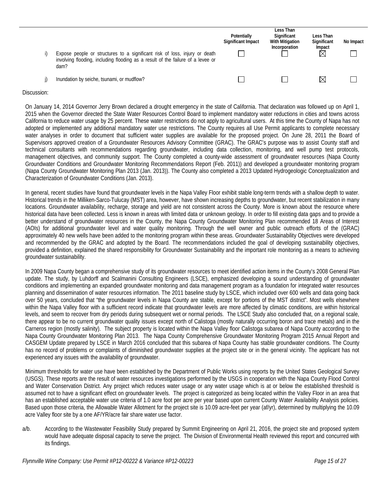| Expose people or structures to a significant risk of loss, injury or death<br>involving flooding, including flooding as a result of the failure of a levee or<br>dam? | Potentially<br>Significant Impact | Less Than<br>Significant<br><b>With Mitigation</b><br>Incorporation | Less Than<br>Significant<br>Impact<br>Ż | No Impact |
|-----------------------------------------------------------------------------------------------------------------------------------------------------------------------|-----------------------------------|---------------------------------------------------------------------|-----------------------------------------|-----------|
| Inundation by seiche, tsunami, or mudflow?                                                                                                                            |                                   |                                                                     | $\bowtie$                               |           |

On January 14, 2014 Governor Jerry Brown declared a drought emergency in the state of California. That declaration was followed up on April 1, 2015 when the Governor directed the State Water Resources Control Board to implement mandatory water reductions in cities and towns across California to reduce water usage by 25 percent. These water restrictions do not apply to agricultural users. At this time the County of Napa has not adopted or implemented any additional mandatory water use restrictions. The County requires all Use Permit applicants to complete necessary water analyses in order to document that sufficient water supplies are available for the proposed project. On June 28, 2011 the Board of Supervisors approved creation of a Groundwater Resources Advisory Committee (GRAC). The GRAC's purpose was to assist County staff and technical consultants with recommendations regarding groundwater, including data collection, monitoring, and well pump test protocols, management objectives, and community support. The County completed a county-wide assessment of groundwater resources (Napa County Groundwater Conditions and Groundwater Monitoring Recommendations Report (Feb. 2011)) and developed a groundwater monitoring program (Napa County Groundwater Monitoring Plan 2013 (Jan. 2013)). The County also completed a 2013 Updated Hydrogeologic Conceptualization and Characterization of Groundwater Conditions (Jan. 2013).

In general, recent studies have found that groundwater levels in the Napa Valley Floor exhibit stable long-term trends with a shallow depth to water. Historical trends in the Milliken-Sarco-Tulucay (MST) area, however, have shown increasing depths to groundwater, but recent stabilization in many locations. Groundwater availability, recharge, storage and yield are not consistent across the County. More is known about the resource where historical data have been collected. Less is known in areas with limited data or unknown geology. In order to fill existing data gaps and to provide a better understand of groundwater resources in the County, the Napa County Groundwater Monitoring Plan recommended 18 Areas of Interest (AOIs) for additional groundwater level and water quality monitoring. Through the well owner and public outreach efforts of the (GRAC) approximately 40 new wells have been added to the monitoring program within these areas. Groundwater Sustainability Objectives were developed and recommended by the GRAC and adopted by the Board. The recommendations included the goal of developing sustainability objectives, provided a definition, explained the shared responsibility for Groundwater Sustainability and the important role monitoring as a means to achieving groundwater sustainability.

In 2009 Napa County began a comprehensive study of its groundwater resources to meet identified action items in the County's 2008 General Plan update. The study, by Luhdorff and Scalmanini Consulting Engineers (LSCE), emphasized developing a sound understanding of groundwater conditions and implementing an expanded groundwater monitoring and data management program as a foundation for integrated water resources planning and dissemination of water resources information. The 2011 baseline study by LSCE, which included over 600 wells and data going back over 50 years, concluded that "the groundwater levels in Napa County are stable, except for portions of the MST district". Most wells elsewhere within the Napa Valley floor with a sufficient record indicate that groundwater levels are more affected by climatic conditions, are within historical levels, and seem to recover from dry periods during subsequent wet or normal periods. The LSCE Study also concluded that, on a regional scale, there appear to be no current groundwater quality issues except north of Calistoga (mostly naturally occurring boron and trace metals) and in the Carneros region (mostly salinity). The subject property is located within the Napa Valley floor Calistoga subarea of Napa County according to the Napa County Groundwater Monitoring Plan 2013. The Napa County Comprehensive Groundwater Monitoring Program 2015 Annual Report and CASGEM Update prepared by LSCE in March 2016 concluded that this subarea of Napa County has stable groundwater conditions. The County has no record of problems or complaints of diminished groundwater supplies at the project site or in the general vicinity. The applicant has not experienced any issues with the availability of groundwater.

Minimum thresholds for water use have been established by the Department of Public Works using reports by the United States Geological Survey (USGS). These reports are the result of water resources investigations performed by the USGS in cooperation with the Napa County Flood Control and Water Conservation District. Any project which reduces water usage or any water usage which is at or below the established threshold is assumed not to have a significant effect on groundwater levels. The project is categorized as being located within the Valley Floor in an area that has an established acceptable water use criteria of 1.0 acre foot per acre per year based upon current County Water Availability Analysis policies. Based upon those criteria, the Allowable Water Allotment for the project site is 10.09 acre-feet per year (af/yr), determined by multiplying the 10.09 acre Valley floor site by a one AF/YR/acre fair share water use factor.

a/b. According to the Wastewater Feasibility Study prepared by Summit Engineering on April 21, 2016, the project site and proposed system would have adequate disposal capacity to serve the project. The Division of Environmental Health reviewed this report and concurred with its findings.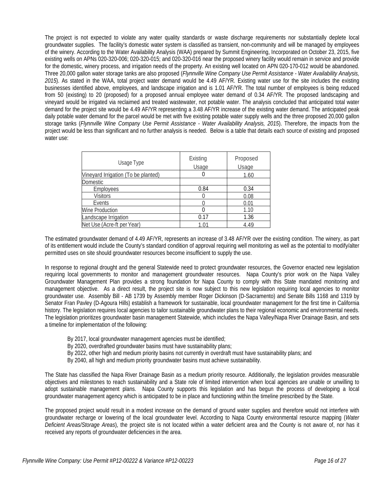The project is not expected to violate any water quality standards or waste discharge requirements nor substantially deplete local groundwater supplies. The facility's domestic water system is classified as transient, non-community and will be managed by employees of the winery. According to the Water Availability Analysis (WAA) prepared by Summit Engineering, Incorporated on October 23, 2015, five existing wells on APNs 020-320-006; 020-320-015; and 020-320-016 near the proposed winery facility would remain in service and provide for the domestic, winery process, and irrigation needs of the property. An existing well located on APN 020-170-012 would be abandoned. Three 20,000 gallon water storage tanks are also proposed (*Flynnville Wine Company Use Permit Assistance - Water Availability Analysis, 2015*). As stated in the WAA, total project water demand would be 4.49 AF/YR. Existing water use for the site includes the existing businesses identified above, employees, and landscape irrigation and is 1.01 AF/YR. The total number of employees is being reduced from 50 (existing) to 20 (proposed) for a proposed annual employee water demand of 0.34 AF/YR. The proposed landscaping and vineyard would be irrigated via reclaimed and treated wastewater, not potable water. The analysis concluded that anticipated total water demand for the project site would be 4.49 AF/YR representing a 3.48 AF/YR increase of the existing water demand. The anticipated peak daily potable water demand for the parcel would be met with five existing potable water supply wells and the three proposed 20,000 gallon storage tanks (*Flynnville Wine Company Use Permit Assistance - Water Availability Analysis, 2015*). Therefore, the impacts from the project would be less than significant and no further analysis is needed. Below is a table that details each source of existing and proposed water use:

| Usage Type                          | Existing<br>Usage | Proposed<br>Usage |
|-------------------------------------|-------------------|-------------------|
| Vineyard Irrigation (To be planted) | O                 | 1.60              |
| <b>Domestic</b>                     |                   |                   |
| Employees                           | 0.84              | 0.34              |
| <b>Visitors</b>                     |                   | 0.08              |
| Events                              |                   | 0.01              |
| <b>Wine Production</b>              |                   | 1.10              |
| Landscape Irrigation                | 0.17              | 1.36              |
| Net Use (Acre-ft per Year)          | 1.01              | 4.49              |

The estimated groundwater demand of 4.49 AF/YR, represents an increase of 3.48 AF/YR over the existing condition. The winery, as part of its entitlement would include the County's standard condition of approval requiring well monitoring as well as the potential to modify/alter permitted uses on site should groundwater resources become insufficient to supply the use.

In response to regional drought and the general Statewide need to protect groundwater resources, the Governor enacted new legislation requiring local governments to monitor and management groundwater resources. Napa County's prior work on the Napa Valley Groundwater Management Plan provides a strong foundation for Napa County to comply with this State mandated monitoring and management objective. As a direct result, the project site is now subject to this new legislation requiring local agencies to monitor groundwater use. Assembly Bill - AB 1739 by Assembly member Roger Dickinson (D-Sacramento) and Senate Bills 1168 and 1319 by Senator Fran Pavley (D-Agoura Hills) establish a framework for sustainable, local groundwater management for the first time in California history. The legislation requires local agencies to tailor sustainable groundwater plans to their regional economic and environmental needs. The legislation prioritizes groundwater basin management Statewide, which includes the Napa Valley/Napa River Drainage Basin, and sets a timeline for implementation of the following:

- By 2017, local groundwater management agencies must be identified;
- By 2020, overdrafted groundwater basins must have sustainability plans;
- By 2022, other high and medium priority basins not currently in overdraft must have sustainability plans; and
- By 2040, all high and medium priority groundwater basins must achieve sustainability.

The State has classified the Napa River Drainage Basin as a medium priority resource. Additionally, the legislation provides measurable objectives and milestones to reach sustainability and a State role of limited intervention when local agencies are unable or unwilling to adopt sustainable management plans. Napa County supports this legislation and has begun the process of developing a local groundwater management agency which is anticipated to be in place and functioning within the timeline prescribed by the State.

The proposed project would result in a modest increase on the demand of ground water supplies and therefore would not interfere with groundwater recharge or lowering of the local groundwater level. According to Napa County environmental resource mapping (*Water Deficient Areas/Storage Areas*), the project site is not located within a water deficient area and the County is not aware of, nor has it received any reports of groundwater deficiencies in the area.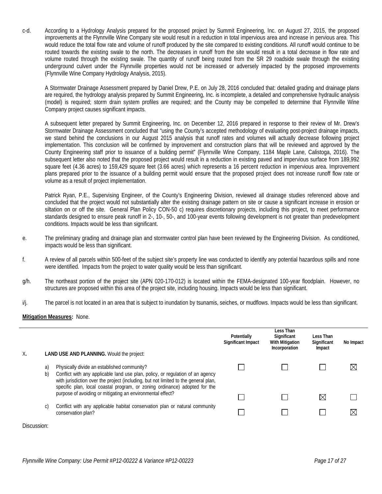c-d. According to a Hydrology Analysis prepared for the proposed project by Summit Engineering, Inc. on August 27, 2015, the proposed improvements at the Flynnville Wine Company site would result in a reduction in total impervious area and increase in pervious area. This would reduce the total flow rate and volume of runoff produced by the site compared to existing conditions. All runoff would continue to be routed towards the existing swale to the north. The decreases in runoff from the site would result in a total decrease in flow rate and volume routed through the existing swale. The quantity of runoff being routed from the SR 29 roadside swale through the existing underground culvert under the Flynnville properties would not be increased or adversely impacted by the proposed improvements (Flynnville Wine Company Hydrology Analysis, 2015).

A Stormwater Drainage Assessment prepared by Daniel Drew, P.E. on July 28, 2016 concluded that: detailed grading and drainage plans are required, the hydrology analysis prepared by Summit Engineering, Inc. is incomplete, a detailed and comprehensive hydraulic analysis (model) is required; storm drain system profiles are required; and the County may be compelled to determine that Flynnville Wine Company project causes significant impacts.

A subsequent letter prepared by Summit Engineering, Inc. on December 12, 2016 prepared in response to their review of Mr. Drew's Stormwater Drainage Assessment concluded that "using the County's accepted methodology of evaluating post-project drainage impacts, we stand behind the conclusions in our August 2015 analysis that runoff rates and volumes will actually decrease following project implementation. This conclusion will be confirmed by improvement and construction plans that will be reviewed and approved by the County Engineering staff prior to issuance of a building permit" (Flynnville Wine Company, 1184 Maple Lane, Calistoga, 2016). The subsequent letter also noted that the proposed project would result in a reduction in existing paved and impervious surface from 189,992 square feet (4.36 acres) to 159,429 square feet (3.66 acres) which represents a 16 percent reduction in impervious area. Improvement plans prepared prior to the issuance of a building permit would ensure that the proposed project does not increase runoff flow rate or volume as a result of project implementation.

Patrick Ryan, P.E., Supervising Engineer, of the County's Engineering Division, reviewed all drainage studies referenced above and concluded that the project would not substantially alter the existing drainage pattern on site or cause a significant increase in erosion or siltation on or off the site. General Plan Policy CON-50 c) requires discretionary projects, including this project, to meet performance standards designed to ensure peak runoff in 2-, 10-, 50-, and 100-year events following development is not greater than predevelopment conditions. Impacts would be less than significant.

- e. The preliminary grading and drainage plan and stormwater control plan have been reviewed by the Engineering Division. As conditioned, impacts would be less than significant.
- f. A review of all parcels within 500-feet of the subject site's property line was conducted to identify any potential hazardous spills and none were identified. Impacts from the project to water quality would be less than significant.
- g/h. The northeast portion of the project site (APN 020-170-012) is located within the FEMA-designated 100-year floodplain. However, no structures are proposed within this area of the project site, including housing. Impacts would be less than significant.
- i/j. The parcel is not located in an area that is subject to inundation by tsunamis, seiches, or mudflows. Impacts would be less than significant.

#### **Mitigation Measures:** None.

| Χ. |          | <b>LAND USE AND PLANNING. Would the project:</b>                                                                                                                                                                                                                                                   | Potentially<br>Significant Impact | Less Than<br>Significant<br><b>With Mitigation</b><br>Incorporation | Less Than<br>Significant<br>Impact | No Impact   |
|----|----------|----------------------------------------------------------------------------------------------------------------------------------------------------------------------------------------------------------------------------------------------------------------------------------------------------|-----------------------------------|---------------------------------------------------------------------|------------------------------------|-------------|
|    | a)<br>b) | Physically divide an established community?<br>Conflict with any applicable land use plan, policy, or regulation of an agency<br>with jurisdiction over the project (including, but not limited to the general plan,<br>specific plan, local coastal program, or zoning ordinance) adopted for the |                                   |                                                                     |                                    |             |
|    |          | purpose of avoiding or mitigating an environmental effect?                                                                                                                                                                                                                                         |                                   |                                                                     | ⋉                                  |             |
|    | C)       | Conflict with any applicable habitat conservation plan or natural community<br>conservation plan?                                                                                                                                                                                                  |                                   |                                                                     |                                    | $\boxtimes$ |
|    |          |                                                                                                                                                                                                                                                                                                    |                                   |                                                                     |                                    |             |

Discussion: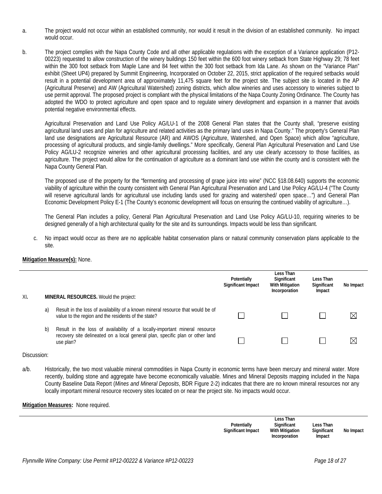- a. The project would not occur within an established community, nor would it result in the division of an established community. No impact would occur.
- b. The project complies with the Napa County Code and all other applicable regulations with the exception of a Variance application (P12- 00223) requested to allow construction of the winery buildings 150 feet within the 600 foot winery setback from State Highway 29; 78 feet within the 300 foot setback from Maple Lane and 84 feet within the 300 foot setback from Ida Lane. As shown on the "Variance Plan" exhibit (Sheet UP4) prepared by Summit Engineering, Incorporated on October 22, 2015, strict application of the required setbacks would result in a potential development area of approximately 11,475 square feet for the project site. The subject site is located in the AP (Agricultural Preserve) and AW (Agricultural Watershed) zoning districts, which allow wineries and uses accessory to wineries subject to use permit approval. The proposed project is compliant with the physical limitations of the Napa County Zoning Ordinance. The County has adopted the WDO to protect agriculture and open space and to regulate winery development and expansion in a manner that avoids potential negative environmental effects.

Agricultural Preservation and Land Use Policy AG/LU-1 of the 2008 General Plan states that the County shall, "preserve existing agricultural land uses and plan for agriculture and related activities as the primary land uses in Napa County." The property's General Plan land use designations are Agricultural Resource (AR) and AWOS (Agriculture, Watershed, and Open Space) which allow "agriculture, processing of agricultural products, and single-family dwellings." More specifically, General Plan Agricultural Preservation and Land Use Policy AG/LU-2 recognize wineries and other agricultural processing facilities, and any use clearly accessory to those facilities, as agriculture. The project would allow for the continuation of agriculture as a dominant land use within the county and is consistent with the Napa County General Plan.

The proposed use of the property for the "fermenting and processing of grape juice into wine" (NCC §18.08.640) supports the economic viability of agriculture within the county consistent with General Plan Agricultural Preservation and Land Use Policy AG/LU-4 ("The County will reserve agricultural lands for agricultural use including lands used for grazing and watershed/ open space…") and General Plan Economic Development Policy E-1 (The County's economic development will focus on ensuring the continued viability of agriculture…).

The General Plan includes a policy, General Plan Agricultural Preservation and Land Use Policy AG/LU-10, requiring wineries to be designed generally of a high architectural quality for the site and its surroundings. Impacts would be less than significant.

c. No impact would occur as there are no applicable habitat conservation plans or natural community conservation plans applicable to the site.

#### **Mitigation Measure(s):** None.

| XI. |    | <b>MINERAL RESOURCES. Would the project:</b>                                                                                                                             | Potentially<br>Significant Impact | Less Than<br>Significant<br><b>With Mitigation</b><br>Incorporation | Less Than<br>Significant<br>Impact | No Impact   |
|-----|----|--------------------------------------------------------------------------------------------------------------------------------------------------------------------------|-----------------------------------|---------------------------------------------------------------------|------------------------------------|-------------|
|     | a) | Result in the loss of availability of a known mineral resource that would be of<br>value to the region and the residents of the state?                                   |                                   |                                                                     |                                    | $\boxtimes$ |
|     | b) | Result in the loss of availability of a locally-important mineral resource<br>recovery site delineated on a local general plan, specific plan or other land<br>use plan? |                                   |                                                                     |                                    | $\times$    |

#### Discussion:

a/b. Historically, the two most valuable mineral commodities in Napa County in economic terms have been mercury and mineral water. More recently, building stone and aggregate have become economically valuable. Mines and Mineral Deposits mapping included in the Napa County Baseline Data Report (*Mines and Mineral Deposits*, BDR Figure 2-2) indicates that there are no known mineral resources nor any locally important mineral resource recovery sites located on or near the project site. No impacts would occur.

| Potentially<br><b>Significant Impact</b> | Less Than<br>Significant<br>With Mitigation<br>Incorporation | Less Than<br>Significant<br>Impact | No Impact |
|------------------------------------------|--------------------------------------------------------------|------------------------------------|-----------|
|                                          |                                                              |                                    |           |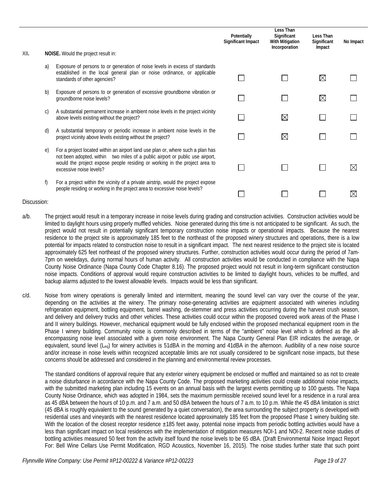|      |          |                                                                                                                                                                                                                                                                           | Potentially<br><b>Significant Impact</b> | Less Than<br>Significant<br><b>With Mitigation</b><br>Incorporation | Less Than<br>Significant<br>Impact | No Impact   |
|------|----------|---------------------------------------------------------------------------------------------------------------------------------------------------------------------------------------------------------------------------------------------------------------------------|------------------------------------------|---------------------------------------------------------------------|------------------------------------|-------------|
| XII. |          | NOISE. Would the project result in:                                                                                                                                                                                                                                       |                                          |                                                                     |                                    |             |
|      | a)       | Exposure of persons to or generation of noise levels in excess of standards<br>established in the local general plan or noise ordinance, or applicable<br>standards of other agencies?                                                                                    |                                          |                                                                     | $\boxtimes$                        |             |
|      | b)       | Exposure of persons to or generation of excessive groundborne vibration or<br>groundborne noise levels?                                                                                                                                                                   |                                          |                                                                     | $\boxtimes$                        |             |
|      | C)       | A substantial permanent increase in ambient noise levels in the project vicinity<br>above levels existing without the project?                                                                                                                                            |                                          | $\bowtie$                                                           |                                    |             |
|      | d)       | A substantial temporary or periodic increase in ambient noise levels in the<br>project vicinity above levels existing without the project?                                                                                                                                |                                          | $\boxtimes$                                                         |                                    |             |
|      | $\Theta$ | For a project located within an airport land use plan or, where such a plan has<br>not been adopted, within two miles of a public airport or public use airport,<br>would the project expose people residing or working in the project area to<br>excessive noise levels? |                                          |                                                                     |                                    | $\boxtimes$ |
|      | f)       | For a project within the vicinity of a private airstrip, would the project expose<br>people residing or working in the project area to excessive noise levels?                                                                                                            |                                          |                                                                     |                                    | ⋉           |

- a/b. The project would result in a temporary increase in noise levels during grading and construction activities. Construction activities would be limited to daylight hours using properly muffled vehicles. Noise generated during this time is not anticipated to be significant. As such, the project would not result in potentially significant temporary construction noise impacts or operational impacts. Because the nearest residence to the project site is approximately 185 feet to the northeast of the proposed winery structures and operations, there is a low potential for impacts related to construction noise to result in a significant impact. The next nearest residence to the project site is located approximately 625 feet northeast of the proposed winery structures. Further, construction activities would occur during the period of 7am-7pm on weekdays, during normal hours of human activity. All construction activities would be conducted in compliance with the Napa County Noise Ordinance (Napa County Code Chapter 8.16). The proposed project would not result in long-term significant construction noise impacts. Conditions of approval would require construction activities to be limited to daylight hours, vehicles to be muffled, and backup alarms adjusted to the lowest allowable levels. Impacts would be less than significant.
- c/d. Noise from winery operations is generally limited and intermittent, meaning the sound level can vary over the course of the year, depending on the activities at the winery. The primary noise-generating activities are equipment associated with wineries including refrigeration equipment, bottling equipment, barrel washing, de-stemmer and press activities occurring during the harvest crush season, and delivery and delivery trucks and other vehicles. These activities could occur within the proposed covered work areas of the Phase I and II winery buildings. However, mechanical equipment would be fully enclosed within the proposed mechanical equipment room in the Phase I winery building. Community noise is commonly described in terms of the "ambient" noise level which is defined as the allencompassing noise level associated with a given noise environment. The Napa County General Plan EIR indicates the average, or equivalent, sound level ( $L_{eq}$ ) for winery activities is 51dBA in the morning and 41dBA in the afternoon. Audibility of a new noise source and/or increase in noise levels within recognized acceptable limits are not usually considered to be significant noise impacts, but these concerns should be addressed and considered in the planning and environmental review processes.

The standard conditions of approval require that any exterior winery equipment be enclosed or muffled and maintained so as not to create a noise disturbance in accordance with the Napa County Code. The proposed marketing activities could create additional noise impacts, with the submitted marketing plan including 15 events on an annual basis with the largest events permitting up to 100 guests. The Napa County Noise Ordinance, which was adopted in 1984, sets the maximum permissible received sound level for a residence in a rural area as 45 dBA between the hours of 10 p.m. and 7 a.m. and 50 dBA between the hours of 7 a.m. to 10 p.m. While the 45 dBA limitation is strict (45 dBA is roughly equivalent to the sound generated by a quiet conversation), the area surrounding the subject property is developed with residential uses and vineyards with the nearest residence located approximately 185 feet from the proposed Phase 1 winery building site. With the location of the closest receptor residence  $\pm 185$  feet away, potential noise impacts from periodic bottling activities would have a less than significant impact on local residences with the implementation of mitigation measures NOI-1 and NOI-2. Recent noise studies of bottling activities measured 50 feet from the activity itself found the noise levels to be 65 dBA. (Draft Environmental Noise Impact Report For: Bell Wine Cellars Use Permit Modification, RGD Acoustics, November 16, 2015). The noise studies further state that such point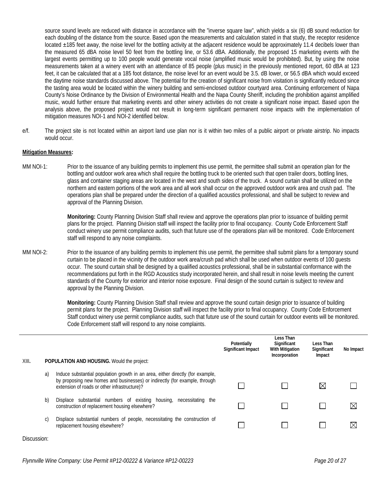source sound levels are reduced with distance in accordance with the "inverse square law", which yields a six (6) dB sound reduction for each doubling of the distance from the source. Based upon the measurements and calculation stated in that study, the receptor residence located ±185 feet away, the noise level for the bottling activity at the adjacent residence would be approximately 11.4 decibels lower than the measured 65 dBA noise level 50 feet from the bottling line, or 53.6 dBA. Additionally, the proposed 15 marketing events with the largest events permitting up to 100 people would generate vocal noise (amplified music would be prohibited). But, by using the noise measurements taken at a winery event with an attendance of 85 people (plus music) in the previously mentioned report, 60 dBA at 123 feet, it can be calculated that at a 185 foot distance, the noise level for an event would be 3.5. dB lower, or 56.5 dBA which would exceed the daytime noise standards discussed above. The potential for the creation of significant noise from visitation is significantly reduced since the tasting area would be located within the winery building and semi-enclosed outdoor courtyard area. Continuing enforcement of Napa County's Noise Ordinance by the Division of Environmental Health and the Napa County Sheriff, including the prohibition against amplified music, would further ensure that marketing events and other winery activities do not create a significant noise impact. Based upon the analysis above, the proposed project would not result in long-term significant permanent noise impacts with the implementation of mitigation measures NOI-1 and NOI-2 identified below.

e/f. The project site is not located within an airport land use plan nor is it within two miles of a public airport or private airstrip. No impacts would occur.

#### **Mitigation Measures:**

MM NOI-1: Prior to the issuance of any building permits to implement this use permit, the permittee shall submit an operation plan for the bottling and outdoor work area which shall require the bottling truck to be oriented such that open trailer doors, bottling lines, glass and container staging areas are located in the west and south sides of the truck. A sound curtain shall be utilized on the northern and eastern portions of the work area and all work shall occur on the approved outdoor work area and crush pad. The operations plan shall be prepared under the direction of a qualified acoustics professional, and shall be subject to review and approval of the Planning Division.

> **Monitoring:** County Planning Division Staff shall review and approve the operations plan prior to issuance of building permit plans for the project. Planning Division staff will inspect the facility prior to final occupancy. County Code Enforcement Staff conduct winery use permit compliance audits, such that future use of the operations plan will be monitored. Code Enforcement staff will respond to any noise complaints.

MM NOI-2: Prior to the issuance of any building permits to implement this use permit, the permittee shall submit plans for a temporary sound curtain to be placed in the vicinity of the outdoor work area/crush pad which shall be used when outdoor events of 100 guests occur. The sound curtain shall be designed by a qualified acoustics professional, shall be in substantial conformance with the recommendations put forth in the RGD Acoustics study incorporated herein, and shall result in noise levels meeting the current standards of the County for exterior and interior noise exposure. Final design of the sound curtain is subject to review and approval by the Planning Division.

> **Monitoring:** County Planning Division Staff shall review and approve the sound curtain design prior to issuance of building permit plans for the project. Planning Division staff will inspect the facility prior to final occupancy. County Code Enforcement Staff conduct winery use permit compliance audits, such that future use of the sound curtain for outdoor events will be monitored. Code Enforcement staff will respond to any noise complaints.

| XIII. |    | <b>POPULATION AND HOUSING.</b> Would the project:                                                                                                                                                            | Potentially<br>Significant Impact | Less Than<br>Significant<br>With Mitigation<br>Incorporation | Less Than<br>Significant<br>Impact | No Impact   |
|-------|----|--------------------------------------------------------------------------------------------------------------------------------------------------------------------------------------------------------------|-----------------------------------|--------------------------------------------------------------|------------------------------------|-------------|
|       | a) | Induce substantial population growth in an area, either directly (for example,<br>by proposing new homes and businesses) or indirectly (for example, through<br>extension of roads or other infrastructure)? |                                   |                                                              | $\bowtie$                          |             |
|       | b) | Displace substantial numbers of existing housing, necessitating<br>the<br>construction of replacement housing elsewhere?                                                                                     |                                   |                                                              |                                    | $\boxtimes$ |
|       | C) | Displace substantial numbers of people, necessitating the construction of<br>replacement housing elsewhere?                                                                                                  |                                   |                                                              |                                    | $\boxtimes$ |

Discussion: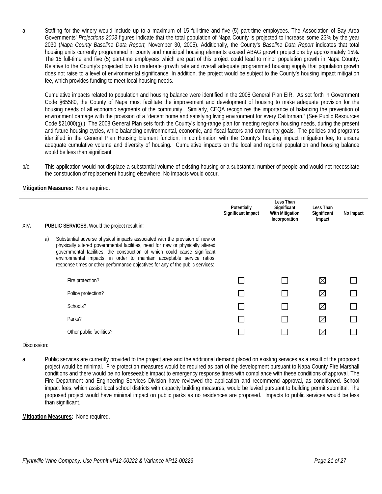a. Staffing for the winery would include up to a maximum of 15 full-time and five (5) part-time employees. The Association of Bay Area Governments' *Projections 2003* figures indicate that the total population of Napa County is projected to increase some 23% by the year 2030 (*Napa County Baseline Data Report,* November 30, 2005). Additionally, the County's *Baseline Data Report* indicates that total housing units currently programmed in county and municipal housing elements exceed ABAG growth projections by approximately 15%. The 15 full-time and five (5) part-time employees which are part of this project could lead to minor population growth in Napa County. Relative to the County's projected low to moderate growth rate and overall adequate programmed housing supply that population growth does not raise to a level of environmental significance. In addition, the project would be subject to the County's housing impact mitigation fee, which provides funding to meet local housing needs.

Cumulative impacts related to population and housing balance were identified in the 2008 General Plan EIR. As set forth in Government Code §65580, the County of Napa must facilitate the improvement and development of housing to make adequate provision for the housing needs of all economic segments of the community. Similarly, CEQA recognizes the importance of balancing the prevention of environment damage with the provision of a "decent home and satisfying living environment for every Californian." (See Public Resources Code §21000(g).) The 2008 General Plan sets forth the County's long-range plan for meeting regional housing needs, during the present and future housing cycles, while balancing environmental, economic, and fiscal factors and community goals. The policies and programs identified in the General Plan Housing Element function, in combination with the County's housing impact mitigation fee, to ensure adequate cumulative volume and diversity of housing. Cumulative impacts on the local and regional population and housing balance would be less than significant.

b/c. This application would not displace a substantial volume of existing housing or a substantial number of people and would not necessitate the construction of replacement housing elsewhere. No impacts would occur.

#### **Mitigation Measures:** None required.

|      |    |                                                                                                                                                                                                                                                                                                                                                                                                          | Potentially<br>Significant Impact | Less Than<br>Significant<br><b>With Mitigation</b><br>Incorporation | Less Than<br>Significant<br>Impact | No Impact |
|------|----|----------------------------------------------------------------------------------------------------------------------------------------------------------------------------------------------------------------------------------------------------------------------------------------------------------------------------------------------------------------------------------------------------------|-----------------------------------|---------------------------------------------------------------------|------------------------------------|-----------|
| XIV. |    | PUBLIC SERVICES. Would the project result in:                                                                                                                                                                                                                                                                                                                                                            |                                   |                                                                     |                                    |           |
|      | a) | Substantial adverse physical impacts associated with the provision of new or<br>physically altered governmental facilities, need for new or physically altered<br>governmental facilities, the construction of which could cause significant<br>environmental impacts, in order to maintain acceptable service ratios,<br>response times or other performance objectives for any of the public services: |                                   |                                                                     |                                    |           |
|      |    | Fire protection?                                                                                                                                                                                                                                                                                                                                                                                         |                                   |                                                                     | $\boxtimes$                        |           |
|      |    | Police protection?                                                                                                                                                                                                                                                                                                                                                                                       |                                   |                                                                     | $\boxtimes$                        |           |
|      |    | Schools?                                                                                                                                                                                                                                                                                                                                                                                                 |                                   |                                                                     | $\boxtimes$                        |           |
|      |    | Parks?                                                                                                                                                                                                                                                                                                                                                                                                   |                                   |                                                                     | $\boxtimes$                        |           |
|      |    | Other public facilities?                                                                                                                                                                                                                                                                                                                                                                                 |                                   |                                                                     | $\bowtie$                          |           |

#### Discussion:

a. Public services are currently provided to the project area and the additional demand placed on existing services as a result of the proposed project would be minimal. Fire protection measures would be required as part of the development pursuant to Napa County Fire Marshall conditions and there would be no foreseeable impact to emergency response times with compliance with these conditions of approval. The Fire Department and Engineering Services Division have reviewed the application and recommend approval, as conditioned. School impact fees, which assist local school districts with capacity building measures, would be levied pursuant to building permit submittal. The proposed project would have minimal impact on public parks as no residences are proposed. Impacts to public services would be less than significant.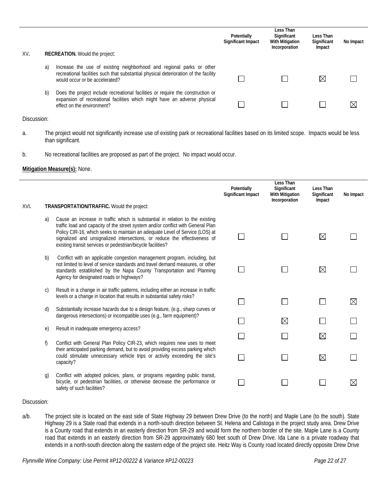| XV. |    | <b>RECREATION.</b> Would the project:                                                                                                                                                           | Potentially<br>Significant Impact | Less Than<br>Significant<br>With Mitigation<br>Incorporation | Less Than<br>Significant<br>Impact | No Impact |
|-----|----|-------------------------------------------------------------------------------------------------------------------------------------------------------------------------------------------------|-----------------------------------|--------------------------------------------------------------|------------------------------------|-----------|
|     | a) | Increase the use of existing neighborhood and regional parks or other<br>recreational facilities such that substantial physical deterioration of the facility<br>would occur or be accelerated? |                                   |                                                              | ⋉                                  |           |
|     | b) | Does the project include recreational facilities or require the construction or<br>expansion of recreational facilities which might have an adverse physical<br>effect on the environment?      |                                   |                                                              |                                    | ⊠         |

a. The project would not significantly increase use of existing park or recreational facilities based on its limited scope. Impacts would be less than significant.

#### b. No recreational facilities are proposed as part of the project. No impact would occur.

#### **Mitigation Measure(s):** None.

| XVI. |              | TRANSPORTATION/TRAFFIC. Would the project:                                                                                                                                                                                                                                                                                                                                                    | Potentially<br>Significant Impact | Less Than<br>Significant<br>With Mitigation<br>Incorporation | Less Than<br>Significant<br>Impact | No Impact   |
|------|--------------|-----------------------------------------------------------------------------------------------------------------------------------------------------------------------------------------------------------------------------------------------------------------------------------------------------------------------------------------------------------------------------------------------|-----------------------------------|--------------------------------------------------------------|------------------------------------|-------------|
|      |              |                                                                                                                                                                                                                                                                                                                                                                                               |                                   |                                                              |                                    |             |
|      | a)           | Cause an increase in traffic which is substantial in relation to the existing<br>traffic load and capacity of the street system and/or conflict with General Plan<br>Policy CIR-16, which seeks to maintain an adequate Level of Service (LOS) at<br>signalized and unsignalized intersections, or reduce the effectiveness of<br>existing transit services or pedestrian/bicycle facilities? |                                   |                                                              | $\boxtimes$                        |             |
|      | b)           | Conflict with an applicable congestion management program, including, but<br>not limited to level of service standards and travel demand measures, or other<br>standards established by the Napa County Transportation and Planning<br>Agency for designated roads or highways?                                                                                                               |                                   |                                                              | $\boxtimes$                        |             |
|      | $\mathsf{C}$ | Result in a change in air traffic patterns, including either an increase in traffic<br>levels or a change in location that results in substantial safety risks?                                                                                                                                                                                                                               | $\overline{\phantom{0}}$          |                                                              |                                    | $\boxtimes$ |
|      | d)           | Substantially increase hazards due to a design feature, (e.g., sharp curves or<br>dangerous intersections) or incompatible uses (e.g., farm equipment)?                                                                                                                                                                                                                                       |                                   | $\boxtimes$                                                  |                                    |             |
|      | e)           | Result in inadequate emergency access?                                                                                                                                                                                                                                                                                                                                                        |                                   |                                                              |                                    |             |
|      | f)           | Conflict with General Plan Policy CIR-23, which requires new uses to meet                                                                                                                                                                                                                                                                                                                     |                                   |                                                              | $\boxtimes$                        |             |
|      |              | their anticipated parking demand, but to avoid providing excess parking which<br>could stimulate unnecessary vehicle trips or activity exceeding the site's<br>capacity?                                                                                                                                                                                                                      |                                   |                                                              | $\boxtimes$                        |             |
|      | g)           | Conflict with adopted policies, plans, or programs regarding public transit,<br>bicycle, or pedestrian facilities, or otherwise decrease the performance or<br>safety of such facilities?                                                                                                                                                                                                     |                                   |                                                              |                                    | IX          |

#### Discussion:

a/b. The project site is located on the east side of State Highway 29 between Drew Drive (to the north) and Maple Lane (to the south). State Highway 29 is a State road that extends in a north-south direction between St. Helena and Calistoga in the project study area. Drew Drive is a County road that extends in an easterly direction from SR-29 and would form the northern border of the site. Maple Lane is a County road that extends in an easterly direction from SR-29 approximately 680 feet south of Drew Drive. Ida Lane is a private roadway that extends in a north-south direction along the eastern edge of the project site. Heitz Way is County road located directly opposite Drew Drive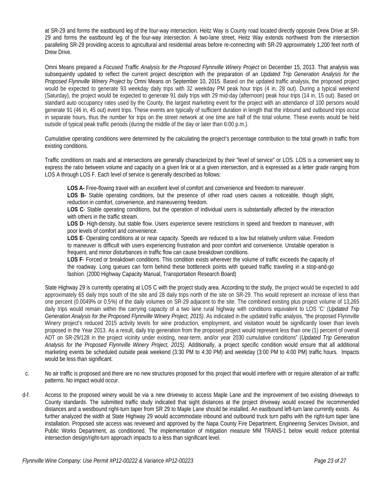at SR-29 and forms the eastbound leg of the four-way intersection. Heitz Way is County road located directly opposite Drew Drive at SR-29 and forms the eastbound leg of the four-way intersection. A two-lane street, Heitz Way extends northwest from the intersection paralleling SR-29 providing access to agricultural and residential areas before re-connecting with SR-29 approximately 1,200 feet north of Drew Drive.

Omni Means prepared a *Focused Traffic Analysis for the Proposed Flynnville Winery Project* on December 15, 2013. That analysis was subsequently updated to reflect the current project description with the preparation of an *Updated Trip Generation Analysis for the Proposed Flynnville Winery Project* by Omni Means on September 10, 2015. Based on the updated traffic analysis, the proposed project would be expected to generate 93 weekday daily trips with 32 weekday PM peak hour trips (4 in, 28 out). During a typical weekend (Saturday), the project would be expected to generate 91 daily trips with 29 mid-day (afternoon) peak hour trips (14 in, 15 out). Based on standard auto occupancy rates used by the County, the largest marketing event for the project with an attendance of 100 persons would generate 91 (46 in, 45 out) event trips. These events are typically of sufficient duration in length that the inbound and outbound trips occur in separate hours, thus the number for trips on the street network at one time are half of the total volume. These events would be held outside of typical peak traffic periods (during the middle of the day or later than 6:00 p.m.).

Cumulative operating conditions were determined by the calculating the project's percentage contribution to the total growth in traffic from existing conditions.

Traffic conditions on roads and at intersections are generally characterized by their "level of service" or LOS. LOS is a convenient way to express the ratio between volume and capacity on a given link or at a given intersection, and is expressed as a letter grade ranging from LOS A through LOS F. Each level of service is generally described as follows:

**LOS A-** Free-flowing travel with an excellent level of comfort and convenience and freedom to maneuver.

**LOS B-** Stable operating conditions, but the presence of other road users causes a noticeable, though slight, reduction in comfort, convenience, and maneuvering freedom.

**LOS C**- Stable operating conditions, but the operation of individual users is substantially affected by the interaction with others in the traffic stream.

**LOS D**- High-density, but stable flow. Users experience severe restrictions in speed and freedom to maneuver, with poor levels of comfort and convenience.

**LOS E**- Operating conditions at or near capacity. Speeds are reduced to a low but relatively uniform value. Freedom to maneuver is difficult with users experiencing frustration and poor comfort and convenience. Unstable operation is frequent, and minor disturbances in traffic flow can cause breakdown conditions.

**LOS F**- Forced or breakdown conditions. This condition exists wherever the volume of traffic exceeds the capacity of the roadway. Long queues can form behind these bottleneck points with queued traffic traveling in a stop-and-go fashion. (2000 Highway Capacity Manual, Transportation Research Board)

State Highway 29 is currently operating at LOS C with the project study area. According to the study, the project would be expected to add approximately 65 daily trips south of the site and 28 daily trips north of the site on SR-29. This would represent an increase of less than one percent (0.0049% or 0.5%) of the daily volumes on SR-29 adjacent to the site. The combined existing plus project volume of 13,265 daily trips would remain within the carrying capacity of a two lane rural highway with conditions equivalent to LOS 'C' (*Updated Trip Generation Analysis for the Proposed Flynnville Winery Project, 2015)*. As indicated in the updated traffic analysis, "the proposed Flynnville Winery project's reduced 2015 activity levels for wine production, employment, and visitation would be significantly lower than levels proposed in the Year 2013. As a result, daily trip generation from the proposed project would represent less than one (1) percent of overall ADT on SR-29/128 in the project vicinity under existing, near-term, and/or year 2030 cumulative conditions" (*Updated Trip Generation Analysis for the Proposed Flynnville Winery Project, 2015)*. Additionally, a project specific condition would ensure that all additional marketing events be scheduled outside peak weekend (3:30 PM to 4:30 PM) and weekday (3:00 PM to 4:00 PM) traffic hours. Impacts would be less than significant.

- c. No air traffic is proposed and there are no new structures proposed for this project that would interfere with or require alteration of air traffic patterns. No impact would occur.
- d-f. Access to the proposed winery would be via a new driveway to access Maple Lane and the improvement of two existing driveways to County standards. The submitted traffic study indicated that sight distances at the project driveway would exceed the recommended distances and a westbound right-turn taper from SR 29 to Maple Lane should be installed. An eastbound left-turn lane currently exists. As further analyzed the width at State Highway 29 would accommodate inbound and outbound truck turn paths with the right-turn taper lane installation. Proposed site access was reviewed and approved by the Napa County Fire Department, Engineering Services Division, and Public Works Department, as conditioned. The implementation of mitigation measure MM TRANS-1 below would reduce potential intersection design/right-turn approach impacts to a less than significant level.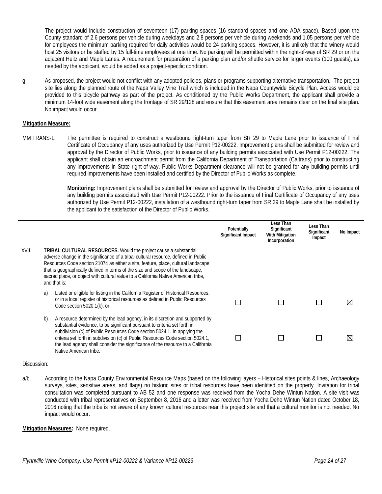The project would include construction of seventeen (17) parking spaces (16 standard spaces and one ADA space). Based upon the County standard of 2.6 persons per vehicle during weekdays and 2.8 persons per vehicle during weekends and 1.05 persons per vehicle for employees the minimum parking required for daily activities would be 24 parking spaces. However, it is unlikely that the winery would host 25 visitors or be staffed by 15 full-time employees at one time. No parking will be permitted within the right-of-way of SR 29 or on the adjacent Heitz and Maple Lanes. A requirement for preparation of a parking plan and/or shuttle service for larger events (100 guests), as needed by the applicant, would be added as a project-specific condition.

g. As proposed, the project would not conflict with any adopted policies, plans or programs supporting alternative transportation. The project site lies along the planned route of the Napa Valley Vine Trail which is included in the Napa Countywide Bicycle Plan. Access would be provided to this bicycle pathway as part of the project. As conditioned by the Public Works Department, the applicant shall provide a minimum 14-foot wide easement along the frontage of SR 29/128 and ensure that this easement area remains clear on the final site plan. No impact would occur.

#### **Mitigation Measure:**

MM TRANS-1: The permittee is required to construct a westbound right-turn taper from SR 29 to Maple Lane prior to issuance of Final Certificate of Occupancy of any uses authorized by Use Permit P12-00222. Improvement plans shall be submitted for review and approval by the Director of Public Works, prior to issuance of any building permits associated with Use Permit P12-00222. The applicant shall obtain an encroachment permit from the California Department of Transportation (Caltrans) prior to constructing any improvements in State right-of-way. Public Works Department clearance will not be granted for any building permits until required improvements have been installed and certified by the Director of Public Works as complete.

> **Monitoring:** Improvement plans shall be submitted for review and approval by the Director of Public Works, prior to issuance of any building permits associated with Use Permit P12-00222. Prior to the issuance of Final Certificate of Occupancy of any uses authorized by Use Permit P12-00222, installation of a westbound right-turn taper from SR 29 to Maple Lane shall be installed by the applicant to the satisfaction of the Director of Public Works.

|       |    |                                                                                                                                                                                                                                                                                                                                                                                                                                              | Potentially<br>Significant Impact | Less Than<br>Significant<br><b>With Mitigation</b><br>Incorporation | Less Than<br>Significant<br>Impact | No Impact   |
|-------|----|----------------------------------------------------------------------------------------------------------------------------------------------------------------------------------------------------------------------------------------------------------------------------------------------------------------------------------------------------------------------------------------------------------------------------------------------|-----------------------------------|---------------------------------------------------------------------|------------------------------------|-------------|
| XVII. |    | <b>TRIBAL CULTURAL RESOURCES.</b> Would the project cause a substantial<br>adverse change in the significance of a tribal cultural resource, defined in Public<br>Resources Code section 21074 as either a site, feature, place, cultural landscape<br>that is geographically defined in terms of the size and scope of the landscape,<br>sacred place, or object with cultural value to a California Native American tribe,<br>and that is: |                                   |                                                                     |                                    |             |
|       | a) | Listed or eligible for listing in the California Register of Historical Resources,<br>or in a local register of historical resources as defined in Public Resources<br>Code section $5020.1(k)$ ; or                                                                                                                                                                                                                                         |                                   |                                                                     |                                    | ⊠           |
|       | b) | A resource determined by the lead agency, in its discretion and supported by<br>substantial evidence, to be significant pursuant to criteria set forth in<br>subdivision (c) of Public Resources Code section 5024.1. In applying the<br>criteria set forth in subdivision (c) of Public Resources Code section 5024.1,<br>the lead agency shall consider the significance of the resource to a California<br>Native American tribe.         |                                   |                                                                     |                                    | $\boxtimes$ |

#### Discussion:

a/b. According to the Napa County Environmental Resource Maps (based on the following layers – Historical sites points & lines, Archaeology surveys, sites, sensitive areas, and flags) no historic sites or tribal resources have been identified on the property. Invitation for tribal consultation was completed pursuant to AB 52 and one response was received from the Yocha Dehe Wintun Nation. A site visit was conducted with tribal representatives on September 8, 2016 and a letter was received from Yocha Dehe Wintun Nation dated October 18, 2016 noting that the tribe is not aware of any known cultural resources near this project site and that a cultural monitor is not needed. No impact would occur.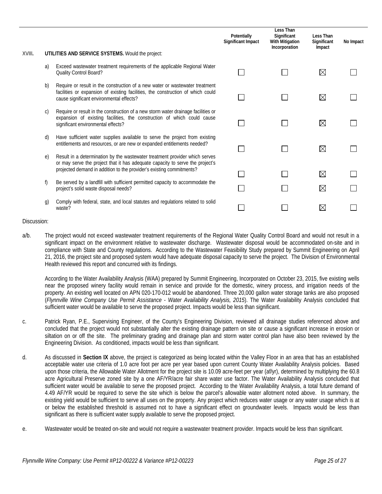|        |            |                                                                                                                                                                                                                                      | Potentially<br>Significant Impact | Less Than<br>Significant<br><b>With Mitigation</b><br>Incorporation | Less Than<br>Significant<br>Impact | No Impact |
|--------|------------|--------------------------------------------------------------------------------------------------------------------------------------------------------------------------------------------------------------------------------------|-----------------------------------|---------------------------------------------------------------------|------------------------------------|-----------|
| XVIII. |            | UTILITIES AND SERVICE SYSTEMS. Would the project:                                                                                                                                                                                    |                                   |                                                                     |                                    |           |
|        | a)         | Exceed wastewater treatment requirements of the applicable Regional Water<br>Quality Control Board?                                                                                                                                  |                                   |                                                                     | $\boxtimes$                        |           |
|        | b)         | Require or result in the construction of a new water or wastewater treatment<br>facilities or expansion of existing facilities, the construction of which could<br>cause significant environmental effects?                          |                                   |                                                                     | $\boxtimes$                        |           |
|        | C)         | Require or result in the construction of a new storm water drainage facilities or<br>expansion of existing facilities, the construction of which could cause<br>significant environmental effects?                                   |                                   |                                                                     | $\boxtimes$                        |           |
|        | d)         | Have sufficient water supplies available to serve the project from existing<br>entitlements and resources, or are new or expanded entitlements needed?                                                                               |                                   |                                                                     | $\boxtimes$                        |           |
|        | $\epsilon$ | Result in a determination by the wastewater treatment provider which serves<br>or may serve the project that it has adequate capacity to serve the project's<br>projected demand in addition to the provider's existing commitments? |                                   |                                                                     | $\boxtimes$                        |           |
|        | f)         | Be served by a landfill with sufficient permitted capacity to accommodate the<br>project's solid waste disposal needs?                                                                                                               |                                   |                                                                     | $\boxtimes$                        |           |
|        | g)         | Comply with federal, state, and local statutes and regulations related to solid<br>waste?                                                                                                                                            |                                   |                                                                     | $\boxtimes$                        |           |

a/b. The project would not exceed wastewater treatment requirements of the Regional Water Quality Control Board and would not result in a significant impact on the environment relative to wastewater discharge. Wastewater disposal would be accommodated on-site and in compliance with State and County regulations. According to the Wastewater Feasibility Study prepared by Summit Engineering on April 21, 2016, the project site and proposed system would have adequate disposal capacity to serve the project. The Division of Environmental Health reviewed this report and concurred with its findings.

According to the Water Availability Analysis (WAA) prepared by Summit Engineering, Incorporated on October 23, 2015, five existing wells near the proposed winery facility would remain in service and provide for the domestic, winery process, and irrigation needs of the property. An existing well located on APN 020-170-012 would be abandoned. Three 20,000 gallon water storage tanks are also proposed (*Flynnville Wine Company Use Permit Assistance - Water Availability Analysis, 2015*). The Water Availability Analysis concluded that sufficient water would be available to serve the proposed project. Impacts would be less than significant.

- c. Patrick Ryan, P.E., Supervising Engineer, of the County's Engineering Division, reviewed all drainage studies referenced above and concluded that the project would not substantially alter the existing drainage pattern on site or cause a significant increase in erosion or siltation on or off the site. The preliminary grading and drainage plan and storm water control plan have also been reviewed by the Engineering Division. As conditioned, impacts would be less than significant.
- d. As discussed in **Section IX** above, the project is categorized as being located within the Valley Floor in an area that has an established acceptable water use criteria of 1.0 acre foot per acre per year based upon current County Water Availability Analysis policies. Based upon those criteria, the Allowable Water Allotment for the project site is 10.09 acre-feet per year (af/yr), determined by multiplying the 60.8 acre Agricultural Preserve zoned site by a one AF/YR/acre fair share water use factor. The Water Availability Analysis concluded that sufficient water would be available to serve the proposed project. According to the Water Availability Analysis, a total future demand of 4.49 AF/YR would be required to serve the site which is below the parcel's allowable water allotment noted above. In summary, the existing yield would be sufficient to serve all uses on the property. Any project which reduces water usage or any water usage which is at or below the established threshold is assumed not to have a significant effect on groundwater levels. Impacts would be less than significant as there is sufficient water supply available to serve the proposed project.
- e. Wastewater would be treated on-site and would not require a wastewater treatment provider. Impacts would be less than significant.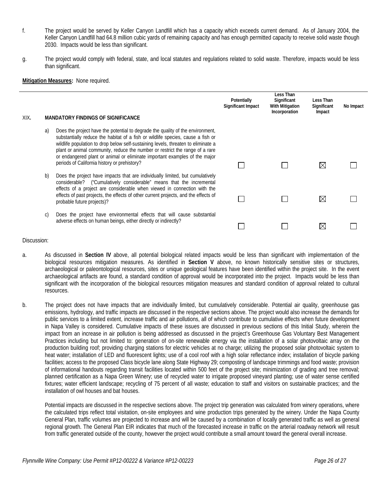- f. The project would be served by Keller Canyon Landfill which has a capacity which exceeds current demand. As of January 2004, the Keller Canyon Landfill had 64.8 million cubic yards of remaining capacity and has enough permitted capacity to receive solid waste though 2030. Impacts would be less than significant.
- g. The project would comply with federal, state, and local statutes and regulations related to solid waste. Therefore, impacts would be less than significant.

#### **Mitigation Measures:** None required.

| XIX. |    | <b>MANDATORY FINDINGS OF SIGNIFICANCE</b>                                                                                                                                                                                                                                                                                                                                                                                                                            | Potentially<br><b>Significant Impact</b> | Less Than<br>Significant<br>With Mitigation<br>Incorporation | Less Than<br>Significant<br>Impact | No Impact |
|------|----|----------------------------------------------------------------------------------------------------------------------------------------------------------------------------------------------------------------------------------------------------------------------------------------------------------------------------------------------------------------------------------------------------------------------------------------------------------------------|------------------------------------------|--------------------------------------------------------------|------------------------------------|-----------|
|      | a) | Does the project have the potential to degrade the quality of the environment,<br>substantially reduce the habitat of a fish or wildlife species, cause a fish or<br>wildlife population to drop below self-sustaining levels, threaten to eliminate a<br>plant or animal community, reduce the number or restrict the range of a rare<br>or endangered plant or animal or eliminate important examples of the major<br>periods of California history or prehistory? |                                          |                                                              | ⋉                                  |           |
|      | b) | Does the project have impacts that are individually limited, but cumulatively<br>considerable? ("Cumulatively considerable" means that the incremental<br>effects of a project are considerable when viewed in connection with the<br>effects of past projects, the effects of other current projects, and the effects of<br>probable future projects)?                                                                                                              |                                          |                                                              | ⋉                                  |           |
|      | C) | Does the project have environmental effects that will cause substantial<br>adverse effects on human beings, either directly or indirectly?                                                                                                                                                                                                                                                                                                                           |                                          |                                                              |                                    |           |

#### Discussion:

- a. As discussed in **Section IV** above, all potential biological related impacts would be less than significant with implementation of the biological resources mitigation measures. As identified in **Section V** above, no known historically sensitive sites or structures, archaeological or paleontological resources, sites or unique geological features have been identified within the project site. In the event archaeological artifacts are found, a standard condition of approval would be incorporated into the project. Impacts would be less than significant with the incorporation of the biological resources mitigation measures and standard condition of approval related to cultural resources.
- b. The project does not have impacts that are individually limited, but cumulatively considerable. Potential air quality, greenhouse gas emissions, hydrology, and traffic impacts are discussed in the respective sections above. The project would also increase the demands for public services to a limited extent, increase traffic and air pollutions, all of which contribute to cumulative effects when future development in Napa Valley is considered. Cumulative impacts of these issues are discussed in previous sections of this Initial Study, wherein the impact from an increase in air pollution is being addressed as discussed in the project's Greenhouse Gas Voluntary Best Management Practices including but not limited to: generation of on-site renewable energy via the installation of a solar photovoltaic array on the production building roof; providing charging stations for electric vehicles at no charge; utilizing the proposed solar photovoltaic system to heat water; installation of LED and fluorescent lights; use of a cool roof with a high solar reflectance index; installation of bicycle parking facilities; access to the proposed Class bicycle lane along State Highway 29; composting of landscape trimmings and food waste; provision of informational handouts regarding transit facilities located within 500 feet of the project site; minimization of grading and tree removal; planned certification as a Napa Green Winery; use of recycled water to irrigate proposed vineyard planting; use of water sense certified fixtures; water efficient landscape; recycling of 75 percent of all waste; education to staff and visitors on sustainable practices; and the installation of owl houses and bat houses.

Potential impacts are discussed in the respective sections above. The project trip generation was calculated from winery operations, where the calculated trips reflect total visitation, on-site employees and wine production trips generated by the winery. Under the Napa County General Plan, traffic volumes are projected to increase and will be caused by a combination of locally generated traffic as well as general regional growth. The General Plan EIR indicates that much of the forecasted increase in traffic on the arterial roadway network will result from traffic generated outside of the county, however the project would contribute a small amount toward the general overall increase.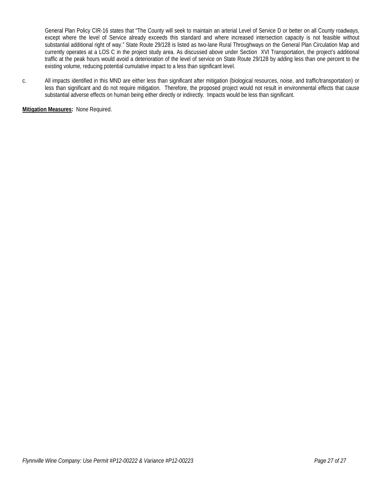General Plan Policy CIR-16 states that "The County will seek to maintain an arterial Level of Service D or better on all County roadways, except where the level of Service already exceeds this standard and where increased intersection capacity is not feasible without substantial additional right of way." State Route 29/128 is listed as two-lane Rural Throughways on the General Plan Circulation Map and currently operates at a LOS C in the project study area. As discussed above under Section XVI Transportation, the project's additional traffic at the peak hours would avoid a deterioration of the level of service on State Route 29/128 by adding less than one percent to the existing volume, reducing potential cumulative impact to a less than significant level.

c. All impacts identified in this MND are either less than significant after mitigation (biological resources, noise, and traffic/transportation) or less than significant and do not require mitigation. Therefore, the proposed project would not result in environmental effects that cause substantial adverse effects on human being either directly or indirectly. Impacts would be less than significant.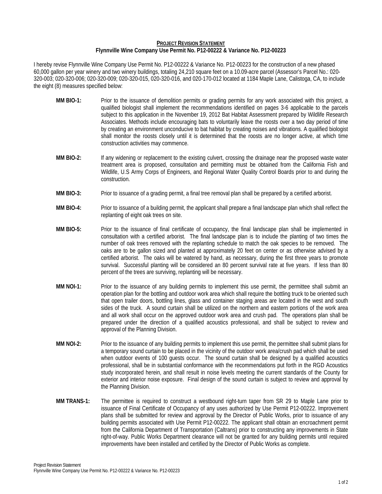#### **PROJECT REVISION STATEMENT Flynnville Wine Company Use Permit No. P12-00222 & Variance No. P12-00223**

I hereby revise Flynnville Wine Company Use Permit No. P12-00222 & Variance No. P12-00223 for the construction of a new phased 60,000 gallon per year winery and two winery buildings, totaling 24,210 square feet on a 10.09-acre parcel (Assessor's Parcel No.: 020- 320-003; 020-320-006; 020-320-009; 020-320-015, 020-320-016, and 020-170-012 located at 1184 Maple Lane, Calistoga, CA, to include the eight (8) measures specified below:

- **MM BIO-1:** Prior to the issuance of demolition permits or grading permits for any work associated with this project, a qualified biologist shall implement the recommendations identified on pages 3-6 applicable to the parcels subject to this application in the November 19, 2012 Bat Habitat Assessment prepared by Wildlife Research Associates. Methods include encouraging bats to voluntarily leave the roosts over a two day period of time by creating an environment unconducive to bat habitat by creating noises and vibrations. A qualified biologist shall monitor the roosts closely until it is determined that the roosts are no longer active, at which time construction activities may commence.
- **MM BIO-2:** If any widening or replacement to the existing culvert, crossing the drainage near the proposed waste water treatment area is proposed, consultation and permitting must be obtained from the California Fish and Wildlife, U.S Army Corps of Engineers, and Regional Water Quality Control Boards prior to and during the construction.
- **MM BIO-3:** Prior to issuance of a grading permit, a final tree removal plan shall be prepared by a certified arborist.
- **MM BIO-4:** Prior to issuance of a building permit, the applicant shall prepare a final landscape plan which shall reflect the replanting of eight oak trees on site.
- **MM BIO-5:** Prior to the issuance of final certificate of occupancy, the final landscape plan shall be implemented in consultation with a certified arborist. The final landscape plan is to include the planting of two times the number of oak trees removed with the replanting schedule to match the oak species to be removed. The oaks are to be gallon sized and planted at approximately 20 feet on center or as otherwise advised by a certified arborist. The oaks will be watered by hand, as necessary, during the first three years to promote survival. Successful planting will be considered an 80 percent survival rate at five years. If less than 80 percent of the trees are surviving, replanting will be necessary.
- **MM NOI-1:** Prior to the issuance of any building permits to implement this use permit, the permittee shall submit an operation plan for the bottling and outdoor work area which shall require the bottling truck to be oriented such that open trailer doors, bottling lines, glass and container staging areas are located in the west and south sides of the truck. A sound curtain shall be utilized on the northern and eastern portions of the work area and all work shall occur on the approved outdoor work area and crush pad. The operations plan shall be prepared under the direction of a qualified acoustics professional, and shall be subject to review and approval of the Planning Division.
- **MM NOI-2:** Prior to the issuance of any building permits to implement this use permit, the permittee shall submit plans for a temporary sound curtain to be placed in the vicinity of the outdoor work area/crush pad which shall be used when outdoor events of 100 quests occur. The sound curtain shall be designed by a qualified acoustics professional, shall be in substantial conformance with the recommendations put forth in the RGD Acoustics study incorporated herein, and shall result in noise levels meeting the current standards of the County for exterior and interior noise exposure. Final design of the sound curtain is subject to review and approval by the Planning Division.
- **MM TRANS-1:** The permittee is required to construct a westbound right-turn taper from SR 29 to Maple Lane prior to issuance of Final Certificate of Occupancy of any uses authorized by Use Permit P12-00222. Improvement plans shall be submitted for review and approval by the Director of Public Works, prior to issuance of any building permits associated with Use Permit P12-00222. The applicant shall obtain an encroachment permit from the California Department of Transportation (Caltrans) prior to constructing any improvements in State right-of-way. Public Works Department clearance will not be granted for any building permits until required improvements have been installed and certified by the Director of Public Works as complete.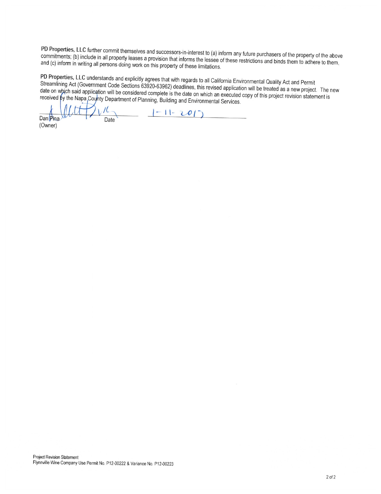PD Properties, LLC further commit themselves and successors-in-interest to (a) inform any future purchasers of the property of the above commitments; (b) include in all property leases a provision that informs the lessee of these restrictions and binds them to adhere to them, and (c) inform in writing all persons doing work on this property of these limitations.

PD Properties, LLC understands and explicitly agrees that with regards to all California Environmental Quality Act and Permit Streamlining Act (Government Code Sections 63920-63962) deadlines, this revised application will be treated as a new project. The new date on which said application will be considered complete is the date on which an executed copy of this project revision statement is received by the Napa Coynty Department of Planning, Building and Environmental Services.

 $|-1|-20|$ Dan Pina Date

(Owner)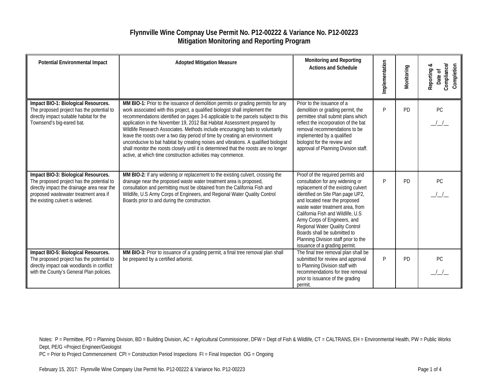### **Flynnville Wine Compnay Use Permit No. P12-00222 & Variance No. P12-00223 Mitigation Monitoring and Reporting Program**

| <b>Potential Environmental Impact</b>                                                                                                                                                                       | <b>Adopted Mitigation Measure</b>                                                                                                                                                                                                                                                                                                                                                                                                                                                                                                                                                                                                                                                                                                             | Monitoring and Reporting<br><b>Actions and Schedule</b>                                                                                                                                                                                                                                                                                                                                                                                 | Implementation | Monitoring | Compliance<br>Completion<br>Reporting &<br>Date of |
|-------------------------------------------------------------------------------------------------------------------------------------------------------------------------------------------------------------|-----------------------------------------------------------------------------------------------------------------------------------------------------------------------------------------------------------------------------------------------------------------------------------------------------------------------------------------------------------------------------------------------------------------------------------------------------------------------------------------------------------------------------------------------------------------------------------------------------------------------------------------------------------------------------------------------------------------------------------------------|-----------------------------------------------------------------------------------------------------------------------------------------------------------------------------------------------------------------------------------------------------------------------------------------------------------------------------------------------------------------------------------------------------------------------------------------|----------------|------------|----------------------------------------------------|
| Impact BIO-1: Biological Resources.<br>The proposed project has the potential to<br>directly impact suitable habitat for the<br>Townsend's big-eared bat.                                                   | MM BIO-1: Prior to the issuance of demolition permits or grading permits for any<br>work associated with this project, a qualified biologist shall implement the<br>recommendations identified on pages 3-6 applicable to the parcels subject to this<br>application in the November 19, 2012 Bat Habitat Assessment prepared by<br>Wildlife Research Associates. Methods include encouraging bats to voluntarily<br>leave the roosts over a two day period of time by creating an environment<br>unconducive to bat habitat by creating noises and vibrations. A qualified biologist<br>shall monitor the roosts closely until it is determined that the roosts are no longer<br>active, at which time construction activities may commence. | Prior to the issuance of a<br>demolition or grading permit, the<br>permittee shall submit plans which<br>reflect the incorporation of the bat<br>removal recommendations to be<br>implemented by a qualified<br>biologist for the review and<br>approval of Planning Division staff.                                                                                                                                                    | P              | <b>PD</b>  | PC                                                 |
| Impact BIO-3: Biological Resources.<br>The proposed project has the potential to<br>directly impact the drainage area near the<br>proposed wastewater treatment area if<br>the existing culvert is widened. | MM BIO-2: If any widening or replacement to the existing culvert, crossing the<br>drainage near the proposed waste water treatment area is proposed,<br>consultation and permitting must be obtained from the California Fish and<br>Wildlife, U.S Army Corps of Engineers, and Regional Water Quality Control<br>Boards prior to and during the construction.                                                                                                                                                                                                                                                                                                                                                                                | Proof of the required permits and<br>consultation for any widening or<br>replacement of the existing culvert<br>identified on Site Plan page UP2,<br>and located near the proposed<br>waste water treatment area, from<br>California Fish and Wildlife, U.S.<br>Army Corps of Engineers, and<br>Regional Water Quality Control<br>Boards shall be submitted to<br>Planning Division staff prior to the<br>issuance of a grading permit. | P              | <b>PD</b>  | PC                                                 |
| Impact BIO-5: Biological Resources.<br>The proposed project has the potential to<br>directly impact oak woodlands in conflict<br>with the County's General Plan policies.                                   | MM BIO-3: Prior to issuance of a grading permit, a final tree removal plan shall<br>be prepared by a certified arborist.                                                                                                                                                                                                                                                                                                                                                                                                                                                                                                                                                                                                                      | The final tree removal plan shall be<br>submitted for review and approval<br>to Planning Division staff with<br>recommendations for tree removal<br>prior to issuance of the grading<br>permit.                                                                                                                                                                                                                                         | P              | <b>PD</b>  | PC.                                                |

Notes: P = Permittee, PD = Planning Division, BD = Building Division, AC = Agricultural Commissioner, DFW = Dept of Fish & Wildlife, CT = CALTRANS, EH = Environmental Health, PW = Public Works Dept, PE/G =Project Engineer/Geologist

PC = Prior to Project Commencement CPI = Construction Period Inspections FI = Final Inspection OG = Ongoing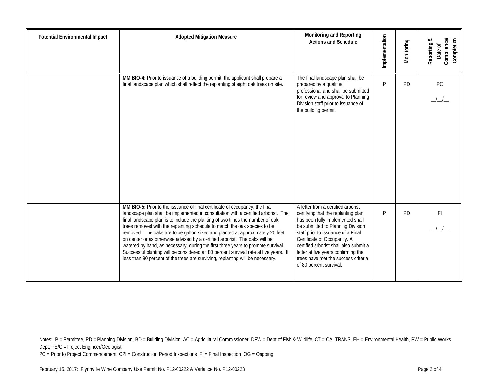| <b>Potential Environmental Impact</b> | <b>Adopted Mitigation Measure</b>                                                                                                                                                                                                                                                                                                                                                                                                                                                                                                                                                                                                                                                                                                                               | Monitoring and Reporting<br><b>Actions and Schedule</b>                                                                                                                                                                                                                                                                                                                    | Implementation | Monitoring | Compliance<br>Completion<br>Reporting &<br>Date of |
|---------------------------------------|-----------------------------------------------------------------------------------------------------------------------------------------------------------------------------------------------------------------------------------------------------------------------------------------------------------------------------------------------------------------------------------------------------------------------------------------------------------------------------------------------------------------------------------------------------------------------------------------------------------------------------------------------------------------------------------------------------------------------------------------------------------------|----------------------------------------------------------------------------------------------------------------------------------------------------------------------------------------------------------------------------------------------------------------------------------------------------------------------------------------------------------------------------|----------------|------------|----------------------------------------------------|
|                                       | MM BIO-4: Prior to issuance of a building permit, the applicant shall prepare a<br>final landscape plan which shall reflect the replanting of eight oak trees on site.                                                                                                                                                                                                                                                                                                                                                                                                                                                                                                                                                                                          | The final landscape plan shall be<br>prepared by a qualified<br>professional and shall be submitted<br>for review and approval to Planning<br>Division staff prior to issuance of<br>the building permit.                                                                                                                                                                  | P              | PD         | PC                                                 |
|                                       | MM BIO-5: Prior to the issuance of final certificate of occupancy, the final<br>landscape plan shall be implemented in consultation with a certified arborist. The<br>final landscape plan is to include the planting of two times the number of oak<br>trees removed with the replanting schedule to match the oak species to be<br>removed. The oaks are to be gallon sized and planted at approximately 20 feet<br>on center or as otherwise advised by a certified arborist. The oaks will be<br>watered by hand, as necessary, during the first three years to promote survival.<br>Successful planting will be considered an 80 percent survival rate at five years. If<br>less than 80 percent of the trees are surviving, replanting will be necessary. | A letter from a certified arborist<br>certifying that the replanting plan<br>has been fully implemented shall<br>be submitted to Planning Division<br>staff prior to issuance of a Final<br>Certificate of Occupancy. A<br>certified arborist shall also submit a<br>letter at five years confirming the<br>trees have met the success criteria<br>of 80 percent survival. | P              | <b>PD</b>  | F <sub>l</sub>                                     |

Notes: P = Permittee, PD = Planning Division, BD = Building Division, AC = Agricultural Commissioner, DFW = Dept of Fish & Wildlife, CT = CALTRANS, EH = Environmental Health, PW = Public Works Dept, PE/G =Project Engineer/Geologist

PC = Prior to Project Commencement CPI = Construction Period Inspections FI = Final Inspection OG = Ongoing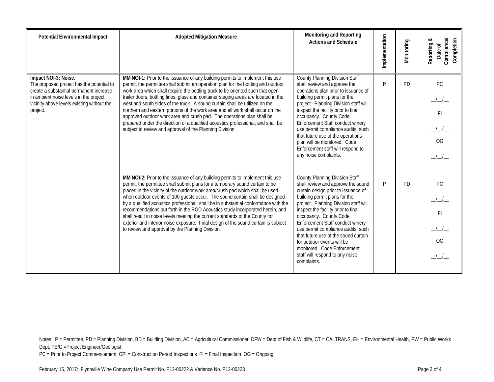| <b>Potential Environmental Impact</b>                                                                                                                                                                            | <b>Adopted Mitigation Measure</b>                                                                                                                                                                                                                                                                                                                                                                                                                                                                                                                                                                                                                                                                                                      | Monitoring and Reporting<br><b>Actions and Schedule</b>                                                                                                                                                                                                                                                                                                                                                                                                                                        | Implementation | Monitoring | Compliance/<br>Completion<br>∝<br>Reporting<br>Date of |
|------------------------------------------------------------------------------------------------------------------------------------------------------------------------------------------------------------------|----------------------------------------------------------------------------------------------------------------------------------------------------------------------------------------------------------------------------------------------------------------------------------------------------------------------------------------------------------------------------------------------------------------------------------------------------------------------------------------------------------------------------------------------------------------------------------------------------------------------------------------------------------------------------------------------------------------------------------------|------------------------------------------------------------------------------------------------------------------------------------------------------------------------------------------------------------------------------------------------------------------------------------------------------------------------------------------------------------------------------------------------------------------------------------------------------------------------------------------------|----------------|------------|--------------------------------------------------------|
| Impact NOI-3: Noise.<br>The proposed project has the potential to<br>create a substantial permanent increase<br>in ambient noise levels in the project<br>vicinity above levels existing without the<br>project. | MM NOI-1: Prior to the issuance of any building permits to implement this use<br>permit, the permittee shall submit an operation plan for the bottling and outdoor<br>work area which shall require the bottling truck to be oriented such that open<br>trailer doors, bottling lines, glass and container staging areas are located in the<br>west and south sides of the truck. A sound curtain shall be utilized on the<br>northern and eastern portions of the work area and all work shall occur on the<br>approved outdoor work area and crush pad. The operations plan shall be<br>prepared under the direction of a qualified acoustics professional, and shall be<br>subject to review and approval of the Planning Division. | <b>County Planning Division Staff</b><br>shall review and approve the<br>operations plan prior to issuance of<br>building permit plans for the<br>project. Planning Division staff will<br>inspect the facility prior to final<br>occupancy. County Code<br>Enforcement Staff conduct winery<br>use permit compliance audits, such<br>that future use of the operations<br>plan will be monitored. Code<br>Enforcement staff will respond to<br>any noise complaints.                          | P              | <b>PD</b>  | PC.<br>FI.<br><b>OG</b>                                |
|                                                                                                                                                                                                                  | MM NOI-2: Prior to the issuance of any building permits to implement this use<br>permit, the permittee shall submit plans for a temporary sound curtain to be<br>placed in the vicinity of the outdoor work area/crush pad which shall be used<br>when outdoor events of 100 guests occur. The sound curtain shall be designed<br>by a qualified acoustics professional, shall be in substantial conformance with the<br>recommendations put forth in the RGD Acoustics study incorporated herein, and<br>shall result in noise levels meeting the current standards of the County for<br>exterior and interior noise exposure. Final design of the sound curtain is subject<br>to review and approval by the Planning Division.       | <b>County Planning Division Staff</b><br>shall review and approve the sound<br>curtain design prior to issuance of<br>building permit plans for the<br>project. Planning Division staff will<br>inspect the facility prior to final<br>occupancy. County Code<br>Enforcement Staff conduct winery<br>use permit compliance audits, such<br>that future use of the sound curtain<br>for outdoor events will be<br>monitored. Code Enforcement<br>staff will respond to any noise<br>complaints. | P              | <b>PD</b>  | PC.<br>FI<br>O <sub>G</sub>                            |

Notes: P = Permittee, PD = Planning Division, BD = Building Division, AC = Agricultural Commissioner, DFW = Dept of Fish & Wildlife, CT = CALTRANS, EH = Environmental Health, PW = Public Works Dept, PE/G =Project Engineer/Geologist

PC = Prior to Project Commencement CPI = Construction Period Inspections FI = Final Inspection OG = Ongoing